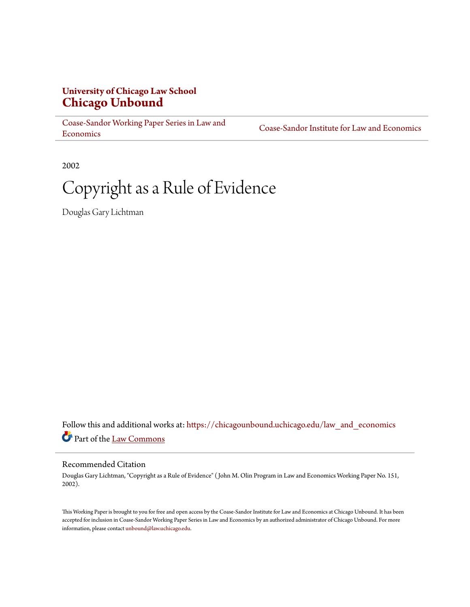# **University of Chicago Law School [Chicago Unbound](https://chicagounbound.uchicago.edu?utm_source=chicagounbound.uchicago.edu%2Flaw_and_economics%2F130&utm_medium=PDF&utm_campaign=PDFCoverPages)**

[Coase-Sandor Working Paper Series in Law and](https://chicagounbound.uchicago.edu/law_and_economics?utm_source=chicagounbound.uchicago.edu%2Flaw_and_economics%2F130&utm_medium=PDF&utm_campaign=PDFCoverPages) [Economics](https://chicagounbound.uchicago.edu/law_and_economics?utm_source=chicagounbound.uchicago.edu%2Flaw_and_economics%2F130&utm_medium=PDF&utm_campaign=PDFCoverPages)

[Coase-Sandor Institute for Law and Economics](https://chicagounbound.uchicago.edu/coase_sandor_institute?utm_source=chicagounbound.uchicago.edu%2Flaw_and_economics%2F130&utm_medium=PDF&utm_campaign=PDFCoverPages)

2002

# Copyright as a Rule of Evidence

Douglas Gary Lichtman

Follow this and additional works at: [https://chicagounbound.uchicago.edu/law\\_and\\_economics](https://chicagounbound.uchicago.edu/law_and_economics?utm_source=chicagounbound.uchicago.edu%2Flaw_and_economics%2F130&utm_medium=PDF&utm_campaign=PDFCoverPages) Part of the [Law Commons](http://network.bepress.com/hgg/discipline/578?utm_source=chicagounbound.uchicago.edu%2Flaw_and_economics%2F130&utm_medium=PDF&utm_campaign=PDFCoverPages)

#### Recommended Citation

Douglas Gary Lichtman, "Copyright as a Rule of Evidence" ( John M. Olin Program in Law and Economics Working Paper No. 151, 2002).

This Working Paper is brought to you for free and open access by the Coase-Sandor Institute for Law and Economics at Chicago Unbound. It has been accepted for inclusion in Coase-Sandor Working Paper Series in Law and Economics by an authorized administrator of Chicago Unbound. For more information, please contact [unbound@law.uchicago.edu.](mailto:unbound@law.uchicago.edu)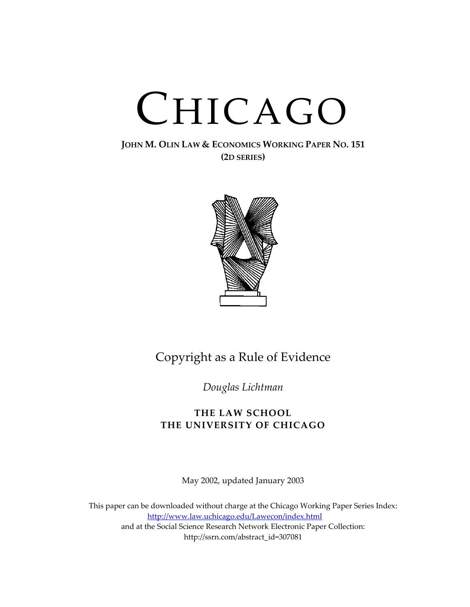# CHICAGO

## **JOHN M. OLIN LAW & ECONOMICS WORKING PAPER NO. 151 (2D SERIES)**



# Copyright as a Rule of Evidence

*Douglas Lichtman*

# **THE LAW SCHOOL THE UNIVERSITY OF CHICAGO**

May 2002, updated January 2003

This paper can be downloaded without charge at the Chicago Working Paper Series Index: [http://www.law.uchicago.edu/Lawecon/index.html](http://www.law.uchicago.edu/Publications/Working/index.html) and at the Social Science Research Network Electronic Paper Collection: http://ssrn.com/abstract\_id=307081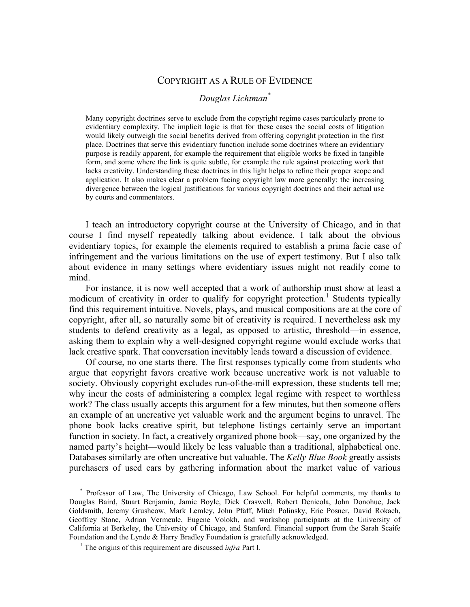#### COPYRIGHT AS A RULE OF EVIDENCE

#### *Douglas Lichtman[\\*](#page-2-0)*

Many copyright doctrines serve to exclude from the copyright regime cases particularly prone to evidentiary complexity. The implicit logic is that for these cases the social costs of litigation would likely outweigh the social benefits derived from offering copyright protection in the first place. Doctrines that serve this evidentiary function include some doctrines where an evidentiary purpose is readily apparent, for example the requirement that eligible works be fixed in tangible form, and some where the link is quite subtle, for example the rule against protecting work that lacks creativity. Understanding these doctrines in this light helps to refine their proper scope and application. It also makes clear a problem facing copyright law more generally: the increasing divergence between the logical justifications for various copyright doctrines and their actual use by courts and commentators.

I teach an introductory copyright course at the University of Chicago, and in that course I find myself repeatedly talking about evidence. I talk about the obvious evidentiary topics, for example the elements required to establish a prima facie case of infringement and the various limitations on the use of expert testimony. But I also talk about evidence in many settings where evidentiary issues might not readily come to mind.

For instance, it is now well accepted that a work of authorship must show at least a modicum of creativity in order to qualify for copyright protection.<sup>[1](#page-2-1)</sup> Students typically find this requirement intuitive. Novels, plays, and musical compositions are at the core of copyright, after all, so naturally some bit of creativity is required. I nevertheless ask my students to defend creativity as a legal, as opposed to artistic, threshold—in essence, asking them to explain why a well-designed copyright regime would exclude works that lack creative spark. That conversation inevitably leads toward a discussion of evidence.

Of course, no one starts there. The first responses typically come from students who argue that copyright favors creative work because uncreative work is not valuable to society. Obviously copyright excludes run-of-the-mill expression, these students tell me; why incur the costs of administering a complex legal regime with respect to worthless work? The class usually accepts this argument for a few minutes, but then someone offers an example of an uncreative yet valuable work and the argument begins to unravel. The phone book lacks creative spirit, but telephone listings certainly serve an important function in society. In fact, a creatively organized phone book—say, one organized by the named party's height—would likely be less valuable than a traditional, alphabetical one. Databases similarly are often uncreative but valuable. The *Kelly Blue Book* greatly assists purchasers of used cars by gathering information about the market value of various

<span id="page-2-0"></span><sup>\*</sup> Professor of Law, The University of Chicago, Law School. For helpful comments, my thanks to Douglas Baird, Stuart Benjamin, Jamie Boyle, Dick Craswell, Robert Denicola, John Donohue, Jack Goldsmith, Jeremy Grushcow, Mark Lemley, John Pfaff, Mitch Polinsky, Eric Posner, David Rokach, Geoffrey Stone, Adrian Vermeule, Eugene Volokh, and workshop participants at the University of California at Berkeley, the University of Chicago, and Stanford. Financial support from the Sarah Scaife Foundation and the Lynde & Harry Bradley Foundation is gratefully acknowledged.

<span id="page-2-1"></span><sup>&</sup>lt;sup>1</sup> The origins of this requirement are discussed *infra* Part I.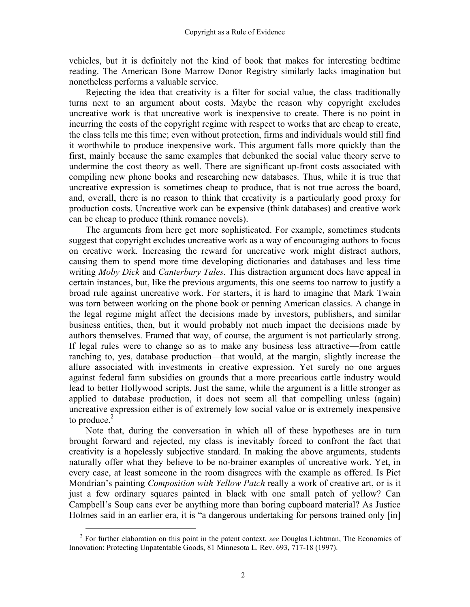vehicles, but it is definitely not the kind of book that makes for interesting bedtime reading. The American Bone Marrow Donor Registry similarly lacks imagination but nonetheless performs a valuable service.

Rejecting the idea that creativity is a filter for social value, the class traditionally turns next to an argument about costs. Maybe the reason why copyright excludes uncreative work is that uncreative work is inexpensive to create. There is no point in incurring the costs of the copyright regime with respect to works that are cheap to create, the class tells me this time; even without protection, firms and individuals would still find it worthwhile to produce inexpensive work. This argument falls more quickly than the first, mainly because the same examples that debunked the social value theory serve to undermine the cost theory as well. There are significant up-front costs associated with compiling new phone books and researching new databases. Thus, while it is true that uncreative expression is sometimes cheap to produce, that is not true across the board, and, overall, there is no reason to think that creativity is a particularly good proxy for production costs. Uncreative work can be expensive (think databases) and creative work can be cheap to produce (think romance novels).

The arguments from here get more sophisticated. For example, sometimes students suggest that copyright excludes uncreative work as a way of encouraging authors to focus on creative work. Increasing the reward for uncreative work might distract authors, causing them to spend more time developing dictionaries and databases and less time writing *Moby Dick* and *Canterbury Tales*. This distraction argument does have appeal in certain instances, but, like the previous arguments, this one seems too narrow to justify a broad rule against uncreative work. For starters, it is hard to imagine that Mark Twain was torn between working on the phone book or penning American classics. A change in the legal regime might affect the decisions made by investors, publishers, and similar business entities, then, but it would probably not much impact the decisions made by authors themselves. Framed that way, of course, the argument is not particularly strong. If legal rules were to change so as to make any business less attractive—from cattle ranching to, yes, database production—that would, at the margin, slightly increase the allure associated with investments in creative expression. Yet surely no one argues against federal farm subsidies on grounds that a more precarious cattle industry would lead to better Hollywood scripts. Just the same, while the argument is a little stronger as applied to database production, it does not seem all that compelling unless (again) uncreative expression either is of extremely low social value or is extremely inexpensive to produce. $2$ 

Note that, during the conversation in which all of these hypotheses are in turn brought forward and rejected, my class is inevitably forced to confront the fact that creativity is a hopelessly subjective standard. In making the above arguments, students naturally offer what they believe to be no-brainer examples of uncreative work. Yet, in every case, at least someone in the room disagrees with the example as offered. Is Piet Mondrian's painting *Composition with Yellow Patch* really a work of creative art, or is it just a few ordinary squares painted in black with one small patch of yellow? Can Campbell's Soup cans ever be anything more than boring cupboard material? As Justice Holmes said in an earlier era, it is "a dangerous undertaking for persons trained only [in]

<span id="page-3-0"></span><sup>2</sup> For further elaboration on this point in the patent context, *see* Douglas Lichtman, The Economics of Innovation: Protecting Unpatentable Goods, 81 Minnesota L. Rev. 693, 717-18 (1997).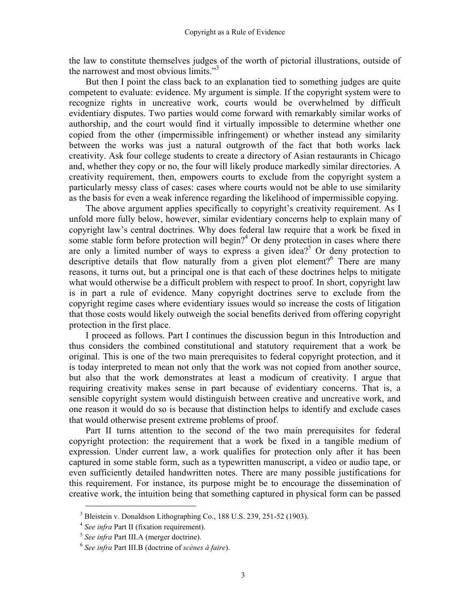the law to constitute themselves judges of the worth of pictorial illustrations, outside of the narrowest and most obvious limits."<sup>[3](#page-4-0)</sup>

But then I point the class back to an explanation tied to something judges are quite competent to evaluate: evidence. My argument is simple. If the copyright system were to recognize rights in uncreative work, courts would be overwhelmed by difficult evidentiary disputes. Two parties would come forward with remarkably similar works of authorship, and the court would find it virtually impossible to determine whether one copied from the other (impermissible infringement) or whether instead any similarity between the works was just a natural outgrowth of the fact that both works lack creativity. Ask four college students to create a directory of Asian restaurants in Chicago and, whether they copy or no, the four will likely produce markedly similar directories. A creativity requirement, then, empowers courts to exclude from the copyright system a particularly messy class of cases: cases where courts would not be able to use similarity as the basis for even a weak inference regarding the likelihood of impermissible copying.

The above argument applies specifically to copyright's creativity requirement. As I unfold more fully below, however, similar evidentiary concerns help to explain many of copyright law's central doctrines. Why does federal law require that a work be fixed in somestable form before protection will begin?<sup>4</sup> Or deny protection in cases where there are only a limited number of ways to express a given idea?<sup>[5](#page-4-2)</sup> Or deny protection to descriptive details that flow naturally from a given plot element?<sup>[6](#page-4-3)</sup> There are many reasons, it turns out, but a principal one is that each of these doctrines helps to mitigate what would otherwise be a difficult problem with respect to proof. In short, copyright law is in part a rule of evidence. Many copyright doctrines serve to exclude from the copyright regime cases where evidentiary issues would so increase the costs of litigation that those costs would likely outweigh the social benefits derived from offering copyright protection in the first place.

I proceed as follows. Part I continues the discussion begun in this Introduction and thus considers the combined constitutional and statutory requirement that a work be original. This is one of the two main prerequisites to federal copyright protection, and it is today interpreted to mean not only that the work was not copied from another source, but also that the work demonstrates at least a modicum of creativity. I argue that requiring creativity makes sense in part because of evidentiary concerns. That is, a sensible copyright system would distinguish between creative and uncreative work, and one reason it would do so is because that distinction helps to identify and exclude cases that would otherwise present extreme problems of proof.

Part II turns attention to the second of the two main prerequisites for federal copyright protection: the requirement that a work be fixed in a tangible medium of expression. Under current law, a work qualifies for protection only after it has been captured in some stable form, such as a typewritten manuscript, a video or audio tape, or even sufficiently detailed handwritten notes. There are many possible justifications for this requirement. For instance, its purpose might be to encourage the dissemination of creative work, the intuition being that something captured in physical form can be passed

<span id="page-4-0"></span><sup>&</sup>lt;sup>3</sup> Bleistein v. Donaldson Lithographing Co., 188 U.S. 239, 251-52 (1903).<br><sup>4</sup> See infra Part II (fixation requirement).<br><sup>5</sup> See infra Part III.A (merger doctrine).<br><sup>6</sup> See infra Part III.B (doctrine of *scènes à faire*).

<span id="page-4-1"></span>

<span id="page-4-2"></span>

<span id="page-4-3"></span>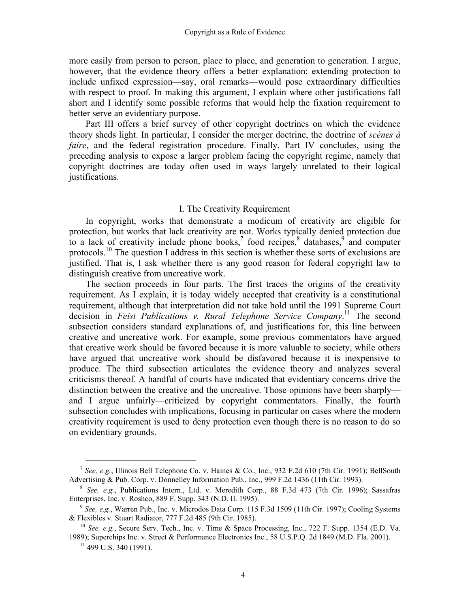more easily from person to person, place to place, and generation to generation. I argue, however, that the evidence theory offers a better explanation: extending protection to include unfixed expression—say, oral remarks—would pose extraordinary difficulties with respect to proof. In making this argument, I explain where other justifications fall short and I identify some possible reforms that would help the fixation requirement to better serve an evidentiary purpose.

Part III offers a brief survey of other copyright doctrines on which the evidence theory sheds light. In particular, I consider the merger doctrine, the doctrine of *scènes à faire*, and the federal registration procedure. Finally, Part IV concludes, using the preceding analysis to expose a larger problem facing the copyright regime, namely that copyright doctrines are today often used in ways largely unrelated to their logical justifications.

#### I. The Creativity Requirement

In copyright, works that demonstrate a modicum of creativity are eligible for protection, but works that lack creativity are not. Works typically denied protection due to a lack of creativity include phone books,<sup>[7](#page-5-0)</sup> food recipes,<sup>[8](#page-5-1)</sup>databases,<sup>9</sup> and computer protocols.[10](#page-5-3) The question I address in this section is whether these sorts of exclusions are justified. That is, I ask whether there is any good reason for federal copyright law to distinguish creative from uncreative work.

The section proceeds in four parts. The first traces the origins of the creativity requirement. As I explain, it is today widely accepted that creativity is a constitutional requirement, although that interpretation did not take hold until the 1991 Supreme Court decision in *Feist Publications v. Rural Telephone Service Company*.<sup>11</sup> The second subsection considers standard explanations of, and justifications for, this line between creative and uncreative work. For example, some previous commentators have argued that creative work should be favored because it is more valuable to society, while others have argued that uncreative work should be disfavored because it is inexpensive to produce. The third subsection articulates the evidence theory and analyzes several criticisms thereof. A handful of courts have indicated that evidentiary concerns drive the distinction between the creative and the uncreative. Those opinions have been sharply and I argue unfairly—criticized by copyright commentators. Finally, the fourth subsection concludes with implications, focusing in particular on cases where the modern creativity requirement is used to deny protection even though there is no reason to do so on evidentiary grounds.

<span id="page-5-0"></span><sup>&</sup>lt;sup>7</sup> *See, e.g.*, Illinois Bell Telephone Co. v. Haines & Co., Inc., 932 F.2d 610 (7th Cir. 1991); BellSouth Advertising & Pub. Corp. v. Donnelley Information Pub., Inc., 999 F.2d 1436 (11th Cir. 1993).

<span id="page-5-1"></span><sup>&</sup>lt;sup>8</sup> See, e.g., Publications Intern., Ltd. v. Meredith Corp., 88 F.3d 473 (7th Cir. 1996); Sassafras Enterprises, Inc. v. Roshco, 889 F. Supp. 343 (N.D. Il. 1995).

<span id="page-5-2"></span><sup>&</sup>lt;sup>9</sup> See, e.g., Warren Pub., Inc. v. Microdos Data Corp. 115 F.3d 1509 (11th Cir. 1997); Cooling Systems & Flexibles v. Stuart Radiator, 777 F.2d 485 (9th Cir. 1985). 10 *See, e.g.*, Secure Serv. Tech., Inc. v. Time & Space Processing, Inc., 722 F. Supp. 1354 (E.D. Va.

<span id="page-5-3"></span><sup>1989);</sup> Superchips Inc. v. Street & Performance Electronics Inc., 58 U.S.P.Q. 2d 1849 (M.D. Fla. 2001). <sup>11</sup> 499 U.S. 340 (1991).

<span id="page-5-4"></span>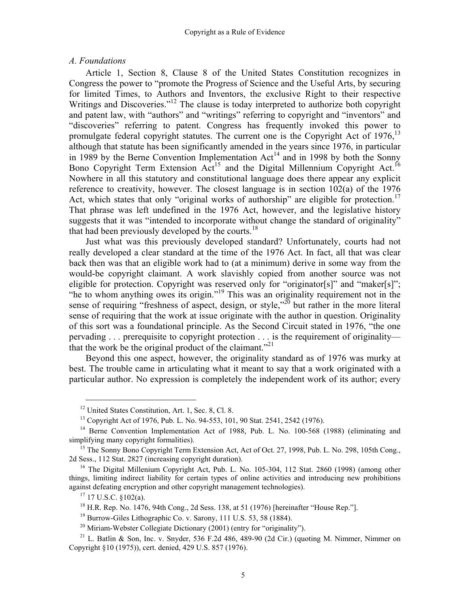#### *A. Foundations*

Article 1, Section 8, Clause 8 of the United States Constitution recognizes in Congress the power to "promote the Progress of Science and the Useful Arts, by securing for limited Times, to Authors and Inventors, the exclusive Right to their respective Writings and Discoveries."<sup>12</sup> The clause is today interpreted to authorize both copyright and patent law, with "authors" and "writings" referring to copyright and "inventors" and "discoveries" referring to patent. Congress has frequently invoked this power to promulgate federal copyright statutes. The current one is the Copyright Act of  $1976$ ,  $^{13}$ although that statute has been significantly amended in the years since 1976, in particular in 1989 by the Berne Convention Implementation  $Act^{14}$  and in 1998 by both the Sonny Bono Copyright Term Extension  $Act^{15}$  and the Digital Millennium Copyright Act.<sup>16</sup> Nowhere in all this statutory and constitutional language does there appear any explicit reference to creativity, however. The closest language is in section  $102(a)$  of the 1976 Act, which states that only "original works of authorship" are eligible for protection.<sup>17</sup> That phrase was left undefined in the 1976 Act, however, and the legislative history suggests that it was "intended to incorporate without change the standard of originality" that had been previously developed by the courts.<sup>18</sup>

Just what was this previously developed standard? Unfortunately, courts had not really developed a clear standard at the time of the 1976 Act. In fact, all that was clear back then was that an eligible work had to (at a minimum) derive in some way from the would-be copyright claimant. A work slavishly copied from another source was not eligible for protection. Copyright was reserved only for "originator[s]" and "maker[s]"; "he to whom anything owes its origin."[19](#page-6-7) This was an originality requirement not in the sense of requiring "freshness of aspect, design, or style,"<sup>20</sup> but rather in the more literal sense of requiring that the work at issue originate with the author in question. Originality of this sort was a foundational principle. As the Second Circuit stated in 1976, "the one pervading . . . prerequisite to copyright protection . . . is the requirement of originality that the work be the original product of the claimant.<sup>"21</sup>

Beyond this one aspect, however, the originality standard as of 1976 was murky at best. The trouble came in articulating what it meant to say that a work originated with a particular author. No expression is completely the independent work of its author; every

<span id="page-6-0"></span><sup>&</sup>lt;sup>12</sup> United States Constitution, Art. 1, Sec. 8, Cl. 8.

<span id="page-6-2"></span><span id="page-6-1"></span>

<sup>&</sup>lt;sup>13</sup> Copyright Act of 1976, Pub. L. No. 94-553, 101, 90 Stat. 2541, 2542 (1976).<br><sup>14</sup> Berne Convention Implementation Act of 1988, Pub. L. No. 100-568 (1988) (eliminating and simplifying many copyright formalities).<br><sup>15</sup> The Sonny Bono Copyright Term Extension Act, Act of Oct. 27, 1998, Pub. L. No. 298, 105th Cong.,

<span id="page-6-3"></span><sup>2</sup>d Sess., 112 Stat. 2827 (increasing copyright duration). 16 The Digital Millenium Copyright Act, Pub. L. No. 105-304, 112 Stat. 2860 (1998) (among other

<span id="page-6-4"></span>things, limiting indirect liability for certain types of online activities and introducing new prohibitions against defeating encryption and other copyright management technologies).<br><sup>17</sup> 17 U.S.C. §102(a).<br><sup>18</sup> H.R. Rep. No. 1476, 94th Cong., 2d Sess. 138, at 51 (1976) [hereinafter "House Rep."].<br><sup>19</sup> Burrow-Giles Lithographic

<span id="page-6-5"></span>

<span id="page-6-6"></span>

<span id="page-6-7"></span>

<span id="page-6-9"></span><span id="page-6-8"></span>

Copyright §10 (1975)), cert. denied, 429 U.S. 857 (1976).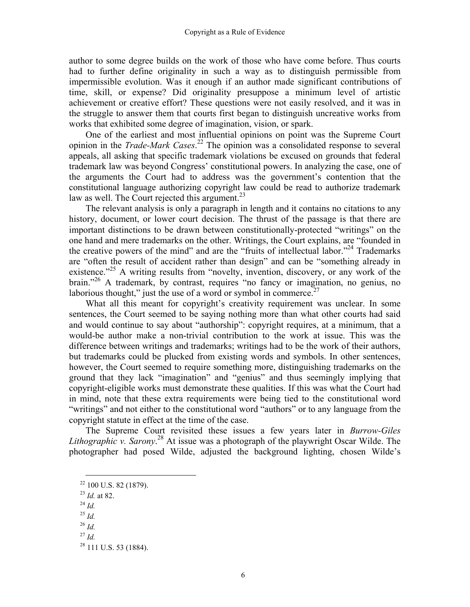author to some degree builds on the work of those who have come before. Thus courts had to further define originality in such a way as to distinguish permissible from impermissible evolution. Was it enough if an author made significant contributions of time, skill, or expense? Did originality presuppose a minimum level of artistic achievement or creative effort? These questions were not easily resolved, and it was in the struggle to answer them that courts first began to distinguish uncreative works from works that exhibited some degree of imagination, vision, or spark.

One of the earliest and most influential opinions on point was the Supreme Court opinion in the *Trade-Mark Cases*. [22](#page-7-0) The opinion was a consolidated response to several appeals, all asking that specific trademark violations be excused on grounds that federal trademark law was beyond Congress' constitutional powers. In analyzing the case, one of the arguments the Court had to address was the government's contention that the constitutional language authorizing copyright law could be read to authorize trademark law as well. The Court rejected this argument. $^{23}$ 

The relevant analysis is only a paragraph in length and it contains no citations to any history, document, or lower court decision. The thrust of the passage is that there are important distinctions to be drawn between constitutionally-protected "writings" on the one hand and mere trademarks on the other. Writings, the Court explains, are "founded in the creative powers of the mind" and are the "fruits of intellectual labor."[24](#page-7-2) Trademarks are "often the result of accident rather than design" and can be "something already in existence."<sup>25</sup> A writing results from "novelty, invention, discovery, or any work of the brain."[26](#page-7-4) A trademark, by contrast, requires "no fancy or imagination, no genius, no laborious thought," just the use of a word or symbol in commerce.<sup>27</sup>

What all this meant for copyright's creativity requirement was unclear. In some sentences, the Court seemed to be saying nothing more than what other courts had said and would continue to say about "authorship": copyright requires, at a minimum, that a would-be author make a non-trivial contribution to the work at issue. This was the difference between writings and trademarks; writings had to be the work of their authors, but trademarks could be plucked from existing words and symbols. In other sentences, however, the Court seemed to require something more, distinguishing trademarks on the ground that they lack "imagination" and "genius" and thus seemingly implying that copyright-eligible works must demonstrate these qualities. If this was what the Court had in mind, note that these extra requirements were being tied to the constitutional word "writings" and not either to the constitutional word "authors" or to any language from the copyright statute in effect at the time of the case.

The Supreme Court revisited these issues a few years later in *Burrow-Giles Lithographic v. Sarony*. [28](#page-7-6) At issue was a photograph of the playwright Oscar Wilde. The photographer had posed Wilde, adjusted the background lighting, chosen Wilde's

- <span id="page-7-3"></span><sup>25</sup> *Id.*
- <span id="page-7-4"></span><sup>26</sup> *Id.*
- <span id="page-7-5"></span><sup>27</sup> *Id.*

<span id="page-7-0"></span> $22$  100 U.S. 82 (1879).

<span id="page-7-1"></span><sup>23</sup> *Id.* at 82. 24 *Id.*

<span id="page-7-2"></span>

<span id="page-7-6"></span> $28$  111 U.S. 53 (1884).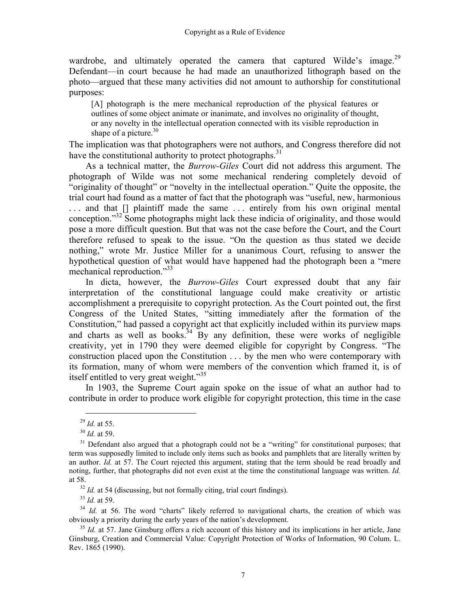wardrobe, and ultimately operated the camera that captured Wilde's image.<sup>29</sup> Defendant—in court because he had made an unauthorized lithograph based on the photo—argued that these many activities did not amount to authorship for constitutional purposes:

[A] photograph is the mere mechanical reproduction of the physical features or outlines of some object animate or inanimate, and involves no originality of thought, or any novelty in the intellectual operation connected with its visible reproduction in shape of a picture. $30$ 

The implication was that photographers were not authors, and Congress therefore did not have the constitutional authority to protect photographs.<sup>31</sup>

As a technical matter, the *Burrow-Giles* Court did not address this argument. The photograph of Wilde was not some mechanical rendering completely devoid of "originality of thought" or "novelty in the intellectual operation." Quite the opposite, the trial court had found as a matter of fact that the photograph was "useful, new, harmonious ... and that  $\Box$  plaintiff made the same ... entirely from his own original mental conception."<sup>32</sup> Some photographs might lack these indicia of originality, and those would pose a more difficult question. But that was not the case before the Court, and the Court therefore refused to speak to the issue. "On the question as thus stated we decide nothing," wrote Mr. Justice Miller for a unanimous Court, refusing to answer the hypothetical question of what would have happened had the photograph been a "mere mechanical reproduction."<sup>33</sup>

In dicta, however, the *Burrow-Giles* Court expressed doubt that any fair interpretation of the constitutional language could make creativity or artistic accomplishment a prerequisite to copyright protection. As the Court pointed out, the first Congress of the United States, "sitting immediately after the formation of the Constitution," had passed a copyright act that explicitly included within its purview maps and charts as well as books. $34$  By any definition, these were works of negligible creativity, yet in 1790 they were deemed eligible for copyright by Congress. "The construction placed upon the Constitution . . . by the men who were contemporary with its formation, many of whom were members of the convention which framed it, is of itself entitled to very great weight."<sup>35</sup>

In 1903, the Supreme Court again spoke on the issue of what an author had to contribute in order to produce work eligible for copyright protection, this time in the case

<span id="page-8-5"></span><span id="page-8-4"></span>

<span id="page-8-0"></span>

<span id="page-8-2"></span><span id="page-8-1"></span>

<sup>&</sup>lt;sup>29</sup> *Id.* at 55.<br><sup>30</sup> *Id.* at 59.<br><sup>31</sup> Defendant also argued that a photograph could not be a "writing" for constitutional purposes; that term was supposedly limited to include only items such as books and pamphlets that are literally written by an author. *Id.* at 57. The Court rejected this argument, stating that the term should be read broadly and noting, further, that photographs did not even exist at the time the constitutional language was written. *Id.* at 58.

<span id="page-8-3"></span>

<sup>&</sup>lt;sup>32</sup> *Id.* at 54 (discussing, but not formally citing, trial court findings).<br><sup>33</sup> *Id.* at 59. The word "charts" likely referred to navigational charts, the creation of which was obviously a priority during the early years of the nation's development.

<span id="page-8-6"></span><sup>&</sup>lt;sup>35</sup> *Id.* at 57. Jane Ginsburg offers a rich account of this history and its implications in her article, Jane Ginsburg, Creation and Commercial Value: Copyright Protection of Works of Information, 90 Colum. L. Rev. 1865 (1990).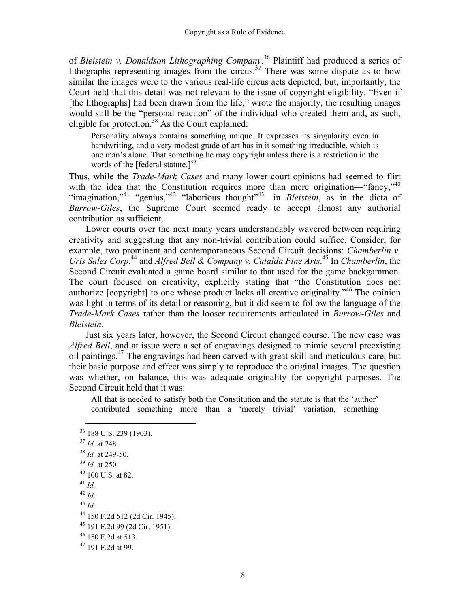of *Bleistein v. Donaldson Lithographing Company*. [36](#page-9-0) Plaintiff had produced a series of lithographs representing images from the circus.<sup>37</sup> There was some dispute as to how similar the images were to the various real-life circus acts depicted, but, importantly, the Court held that this detail was not relevant to the issue of copyright eligibility. "Even if [the lithographs] had been drawn from the life," wrote the majority, the resulting images would still be the "personal reaction" of the individual who created them and, as such, eligible for protection.<sup>38</sup> As the Court explained:

Personality always contains something unique. It expresses its singularity even in handwriting, and a very modest grade of art has in it something irreducible, which is one man's alone. That something he may copyright unless there is a restriction in the words of the [federal statute.] $^{39}$ 

Thus, while the *Trade-Mark Cases* and many lower court opinions had seemed to flirt with the idea that the Constitution requires more than mere origination—"fancy," $40$ "imagination,"<sup>41</sup> "genius,"<sup>42</sup> "laborious thought"<sup>43</sup>—in *Bleistein*, as in the dicta of *Burrow-Giles*, the Supreme Court seemed ready to accept almost any authorial contribution as sufficient.

Lower courts over the next many years understandably wavered between requiring creativity and suggesting that any non-trivial contribution could suffice. Consider, for example, two prominent and contemporaneous Second Circuit decisions: *Chamberlin v. Uris Sales Corp*. [44](#page-9-8) and *Alfred Bell & Company v. Catalda Fine Arts*. [45 I](#page-9-9)n *Chamberlin*, the Second Circuit evaluated a game board similar to that used for the game backgammon. The court focused on creativity, explicitly stating that "the Constitution does not authorize [copyright] to one whose product lacks all creative originality."[46](#page-9-10) The opinion was light in terms of its detail or reasoning, but it did seem to follow the language of the *Trade-Mark Cases* rather than the looser requirements articulated in *Burrow-Giles* and *Bleistein*.

Just six years later, however, the Second Circuit changed course. The new case was *Alfred Bell*, and at issue were a set of engravings designed to mimic several preexisting oil paintings[.47](#page-9-11) The engravings had been carved with great skill and meticulous care, but their basic purpose and effect was simply to reproduce the original images. The question was whether, on balance, this was adequate originality for copyright purposes. The Second Circuit held that it was:

All that is needed to satisfy both the Constitution and the statute is that the 'author' contributed something more than a 'merely trivial' variation, something

- <span id="page-9-2"></span>
- <span id="page-9-4"></span><span id="page-9-3"></span>
- <span id="page-9-1"></span><sup>37</sup> *Id.* at 248. 38 *Id.* at 249-50. 39 *Id.* at 250. 40 100 U.S. at 82. 41 *Id.*
- <span id="page-9-5"></span>

- <span id="page-9-6"></span>42 *Id.* 43 *Id.*
- <span id="page-9-7"></span>
- <span id="page-9-8"></span>44 150 F.2d 512 (2d Cir. 1945).<br><sup>45</sup> 191 F.2d 99 (2d Cir. 1951).<br><sup>46</sup> 150 F.2d at 513.<br><sup>47</sup> 191 F.2d at 99.
- <span id="page-9-9"></span>
- <span id="page-9-10"></span>

<span id="page-9-0"></span><sup>36 188</sup> U.S. 239 (1903).

<span id="page-9-11"></span>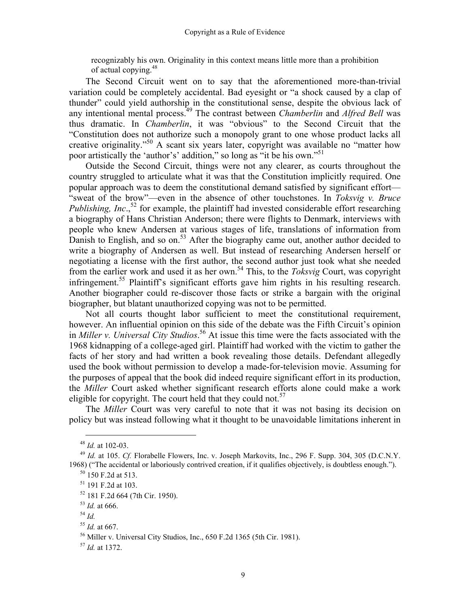recognizably his own. Originality in this context means little more than a prohibition of actual copying[.48](#page-10-0) 

The Second Circuit went on to say that the aforementioned more-than-trivial variation could be completely accidental. Bad eyesight or "a shock caused by a clap of thunder" could yield authorship in the constitutional sense, despite the obvious lack of any intentional mental process.<sup>49</sup> The contrast between *Chamberlin* and *Alfred Bell* was thus dramatic. In *Chamberlin*, it was "obvious" to the Second Circuit that the "Constitution does not authorize such a monopoly grant to one whose product lacks all creative originality.<sup>50</sup> A scant six years later, copyright was available no "matter how poor artistically the 'author's' addition," so long as "it be his own."<sup>51</sup>

Outside the Second Circuit, things were not any clearer, as courts throughout the country struggled to articulate what it was that the Constitution implicitly required. One popular approach was to deem the constitutional demand satisfied by significant effort— "sweat of the brow"—even in the absence of other touchstones. In *Toksvig v. Bruce Publishing, Inc.*<sup>52</sup> for example, the plaintiff had invested considerable effort researching a biography of Hans Christian Anderson; there were flights to Denmark, interviews with people who knew Andersen at various stages of life, translations of information from Danish to English, and so on.<sup>53</sup> After the biography came out, another author decided to write a biography of Andersen as well. But instead of researching Andersen herself or negotiating a license with the first author, the second author just took what she needed from the earlier work and used it as her own[.54](#page-10-6) This, to the *Toksvig* Court, was copyright infringement.<sup>55</sup> Plaintiff's significant efforts gave him rights in his resulting research. Another biographer could re-discover those facts or strike a bargain with the original biographer, but blatant unauthorized copying was not to be permitted.

Not all courts thought labor sufficient to meet the constitutional requirement, however. An influential opinion on this side of the debate was the Fifth Circuit's opinion in *Miller v. Universal City Studios*. [56](#page-10-8) At issue this time were the facts associated with the 1968 kidnapping of a college-aged girl. Plaintiff had worked with the victim to gather the facts of her story and had written a book revealing those details. Defendant allegedly used the book without permission to develop a made-for-television movie. Assuming for the purposes of appeal that the book did indeed require significant effort in its production, the *Miller* Court asked whether significant research efforts alone could make a work eligible for copyright. The court held that they could not.<sup>57</sup>

The *Miller* Court was very careful to note that it was not basing its decision on policy but was instead following what it thought to be unavoidable limitations inherent in

<span id="page-10-1"></span><span id="page-10-0"></span>

<sup>&</sup>lt;sup>48</sup> *Id.* at 102-03.<br><sup>49</sup> *Id.* at 105. *Cf.* Florabelle Flowers, Inc. v. Joseph Markovits, Inc., 296 F. Supp. 304, 305 (D.C.N.Y.) 1968) ("The accidental or laboriously contrived creation, if it qualifies objectively, is doubtless enough."). <sup>50</sup> 150 F.2d at 513.<br><sup>51</sup> 191 F.2d at 103.<br><sup>52</sup> 181 F.2d 664 (7th Cir. 1950).<br><sup>53</sup> *Id.* at 666.<br><sup>54</sup> *Id.* 

<span id="page-10-2"></span>

<span id="page-10-3"></span>

<span id="page-10-4"></span>

<span id="page-10-5"></span>

<span id="page-10-6"></span>

<span id="page-10-8"></span>

<span id="page-10-7"></span><sup>55</sup> *Id.* at 667. 56 Miller v. Universal City Studios, Inc., 650 F.2d 1365 (5th Cir. 1981). 57 *Id.* at 1372.

<span id="page-10-9"></span>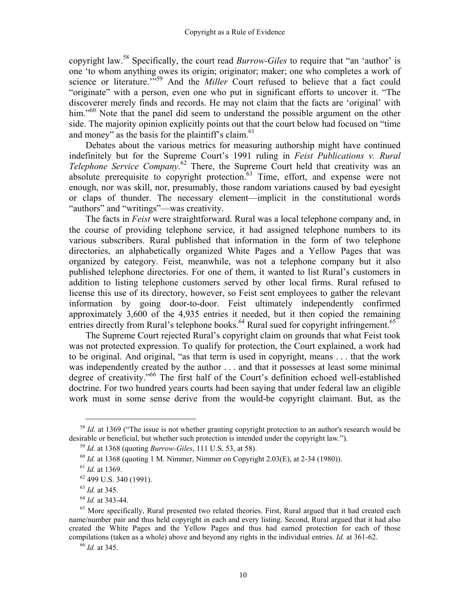copyright law.[58](#page-11-0) Specifically, the court read *Burrow-Giles* to require that "an 'author' is one 'to whom anything owes its origin; originator; maker; one who completes a work of science or literature."<sup>59</sup> And the *Miller* Court refused to believe that a fact could "originate" with a person, even one who put in significant efforts to uncover it. "The discoverer merely finds and records. He may not claim that the facts are 'original' with him."<sup>60</sup> Note that the panel did seem to understand the possible argument on the other side. The majority opinion explicitly points out that the court below had focused on "time and money" as the basis for the plaintiff's claim. [61](#page-11-3) 

Debates about the various metrics for measuring authorship might have continued indefinitely but for the Supreme Court's 1991 ruling in *Feist Publications v. Rural Telephone Service Company*. [62](#page-11-4) There, the Supreme Court held that creativity was an absolute prerequisite to copyright protection.<sup>63</sup> Time, effort, and expense were not enough, nor was skill, nor, presumably, those random variations caused by bad eyesight or claps of thunder. The necessary element—implicit in the constitutional words "authors" and "writings"—was creativity.

The facts in *Feist* were straightforward. Rural was a local telephone company and, in the course of providing telephone service, it had assigned telephone numbers to its various subscribers. Rural published that information in the form of two telephone directories, an alphabetically organized White Pages and a Yellow Pages that was organized by category. Feist, meanwhile, was not a telephone company but it also published telephone directories. For one of them, it wanted to list Rural's customers in addition to listing telephone customers served by other local firms. Rural refused to license this use of its directory, however, so Feist sent employees to gather the relevant information by going door-to-door. Feist ultimately independently confirmed approximately 3,600 of the 4,935 entries it needed, but it then copied the remaining entries directly from Rural's telephone books.<sup>64</sup> Rural sued for copyright infringement.<sup>[65](#page-11-7)</sup>

The Supreme Court rejected Rural's copyright claim on grounds that what Feist took was not protected expression. To qualify for protection, the Court explained, a work had to be original. And original, "as that term is used in copyright, means . . . that the work was independently created by the author . . . and that it possesses at least some minimal degree of creativity.["66](#page-11-8) The first half of the Court's definition echoed well-established doctrine. For two hundred years courts had been saying that under federal law an eligible work must in some sense derive from the would-be copyright claimant. But, as the

<span id="page-11-0"></span> $\overline{a}$ 

<span id="page-11-8"></span><sup>66</sup> *Id.* at 345.

<sup>&</sup>lt;sup>58</sup> *Id.* at 1369 ("The issue is not whether granting copyright protection to an author's research would be desirable or beneficial, but whether such protection is intended under the copyright law.").

<span id="page-11-2"></span><span id="page-11-1"></span>

<sup>&</sup>lt;sup>59</sup> *Id.* at 1368 (quoting *Burrow-Giles*, 111 U.S. 53, at 58).<br><sup>60</sup> *Id.* at 1368 (quoting 1 M. Nimmer, Nimmer on Copyright 2.03(E), at 2-34 (1980)).<br><sup>61</sup> *Id.* at 1369.<br><sup>62</sup> 499 U.S. 340 (1991).

<span id="page-11-3"></span>

<span id="page-11-4"></span>

<span id="page-11-5"></span>

<span id="page-11-7"></span><span id="page-11-6"></span>

<sup>&</sup>lt;sup>63</sup> *Id.* at 345.<br><sup>64</sup> *Id.* at 343-44.<br><sup>65</sup> More specifically, Rural presented two related theories. First, Rural argued that it had created each name/number pair and thus held copyright in each and every listing. Second, Rural argued that it had also created the White Pages and the Yellow Pages and thus had earned protection for each of those compilations (taken as a whole) above and beyond any rights in the individual entries. *Id.* at 361-62.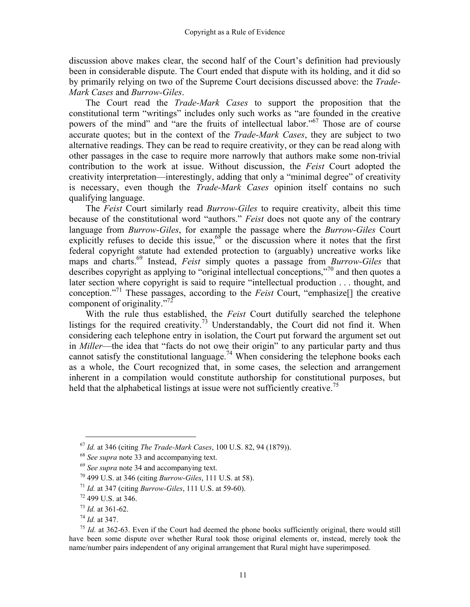discussion above makes clear, the second half of the Court's definition had previously been in considerable dispute. The Court ended that dispute with its holding, and it did so by primarily relying on two of the Supreme Court decisions discussed above: the *Trade-Mark Cases* and *Burrow-Giles*.

The Court read the *Trade-Mark Cases* to support the proposition that the constitutional term "writings" includes only such works as "are founded in the creative powers of the mind" and "are the fruits of intellectual labor."<sup>67</sup> Those are of course accurate quotes; but in the context of the *Trade-Mark Cases*, they are subject to two alternative readings. They can be read to require creativity, or they can be read along with other passages in the case to require more narrowly that authors make some non-trivial contribution to the work at issue. Without discussion, the *Feist* Court adopted the creativity interpretation—interestingly, adding that only a "minimal degree" of creativity is necessary, even though the *Trade-Mark Cases* opinion itself contains no such qualifying language.

The *Feist* Court similarly read *Burrow-Giles* to require creativity, albeit this time because of the constitutional word "authors." *Feist* does not quote any of the contrary language from *Burrow-Giles*, for example the passage where the *Burrow-Giles* Court explicitly refuses to decide this issue,<sup>68</sup> or the discussion where it notes that the first federal copyright statute had extended protection to (arguably) uncreative works like maps and charts.[69](#page-12-2) Instead, *Feist* simply quotes a passage from *Burrow-Giles* that describes copyright as applying to "original intellectual conceptions,"[70 a](#page-12-3)nd then quotes a later section where copyright is said to require "intellectual production . . . thought, and conception."[71](#page-12-4) These passages, according to the *Feist* Court, "emphasize[] the creative component of originality."<sup>72</sup>

With the rule thus established, the *Feist* Court dutifully searched the telephone listings for the required creativity.<sup>73</sup> Understandably, the Court did not find it. When considering each telephone entry in isolation, the Court put forward the argument set out in *Miller*—the idea that "facts do not owe their origin" to any particular party and thus cannot satisfy the constitutional language.<sup>74</sup> When considering the telephone books each as a whole, the Court recognized that, in some cases, the selection and arrangement inherent in a compilation would constitute authorship for constitutional purposes, but held that the alphabetical listings at issue were not sufficiently creative.<sup>75</sup>

- <span id="page-12-6"></span>
- <span id="page-12-8"></span><span id="page-12-7"></span>

<span id="page-12-0"></span> $^{67}$  Id. at 346 (citing The Trade-Mark Cases, 100 U.S. 82, 94 (1879)).

<span id="page-12-1"></span>

<span id="page-12-2"></span>

<span id="page-12-3"></span>

<span id="page-12-4"></span>

<span id="page-12-5"></span>

<sup>&</sup>lt;sup>67</sup> *Id.* at 346 (citing *The Trade-Mark Cases*, 100 U.S. 82, 94 (1879)).<br><sup>68</sup> *See supra* note 33 and accompanying text.<br><sup>69</sup> *See supra* note 34 and accompanying text.<br><sup>70</sup> 499 U.S. at 346 (citing *Burrow-Giles*, 111 U have been some dispute over whether Rural took those original elements or, instead, merely took the name/number pairs independent of any original arrangement that Rural might have superimposed.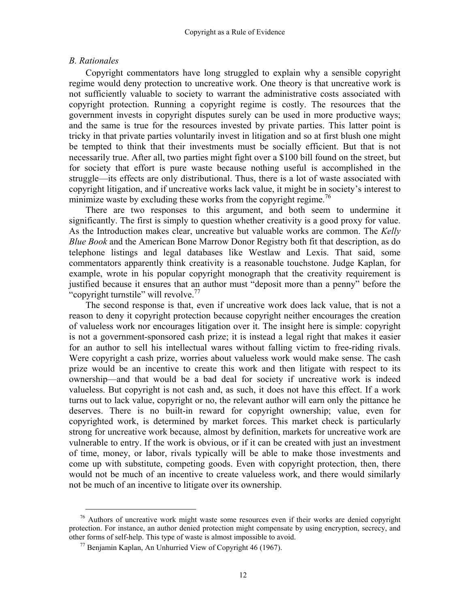#### *B. Rationales*

<span id="page-13-0"></span> $\overline{a}$ 

Copyright commentators have long struggled to explain why a sensible copyright regime would deny protection to uncreative work. One theory is that uncreative work is not sufficiently valuable to society to warrant the administrative costs associated with copyright protection. Running a copyright regime is costly. The resources that the government invests in copyright disputes surely can be used in more productive ways; and the same is true for the resources invested by private parties. This latter point is tricky in that private parties voluntarily invest in litigation and so at first blush one might be tempted to think that their investments must be socially efficient. But that is not necessarily true. After all, two parties might fight over a \$100 bill found on the street, but for society that effort is pure waste because nothing useful is accomplished in the struggle—its effects are only distributional. Thus, there is a lot of waste associated with copyright litigation, and if uncreative works lack value, it might be in society's interest to minimize waste by excluding these works from the copyright regime.<sup>[76](#page-13-0)</sup>

There are two responses to this argument, and both seem to undermine it significantly. The first is simply to question whether creativity is a good proxy for value. As the Introduction makes clear, uncreative but valuable works are common. The *Kelly Blue Book* and the American Bone Marrow Donor Registry both fit that description, as do telephone listings and legal databases like Westlaw and Lexis. That said, some commentators apparently think creativity is a reasonable touchstone. Judge Kaplan, for example, wrote in his popular copyright monograph that the creativity requirement is justified because it ensures that an author must "deposit more than a penny" before the "copyright turnstile" will revolve.<sup>77</sup>

The second response is that, even if uncreative work does lack value, that is not a reason to deny it copyright protection because copyright neither encourages the creation of valueless work nor encourages litigation over it. The insight here is simple: copyright is not a government-sponsored cash prize; it is instead a legal right that makes it easier for an author to sell his intellectual wares without falling victim to free-riding rivals. Were copyright a cash prize, worries about valueless work would make sense. The cash prize would be an incentive to create this work and then litigate with respect to its ownership—and that would be a bad deal for society if uncreative work is indeed valueless. But copyright is not cash and, as such, it does not have this effect. If a work turns out to lack value, copyright or no, the relevant author will earn only the pittance he deserves. There is no built-in reward for copyright ownership; value, even for copyrighted work, is determined by market forces. This market check is particularly strong for uncreative work because, almost by definition, markets for uncreative work are vulnerable to entry. If the work is obvious, or if it can be created with just an investment of time, money, or labor, rivals typically will be able to make those investments and come up with substitute, competing goods. Even with copyright protection, then, there would not be much of an incentive to create valueless work, and there would similarly not be much of an incentive to litigate over its ownership.

 $76$  Authors of uncreative work might waste some resources even if their works are denied copyright protection. For instance, an author denied protection might compensate by using encryption, secrecy, and other forms of self-help. This type of waste is almost impossible to avoid.

<span id="page-13-1"></span> $^{77}$  Benjamin Kaplan, An Unhurried View of Copyright 46 (1967).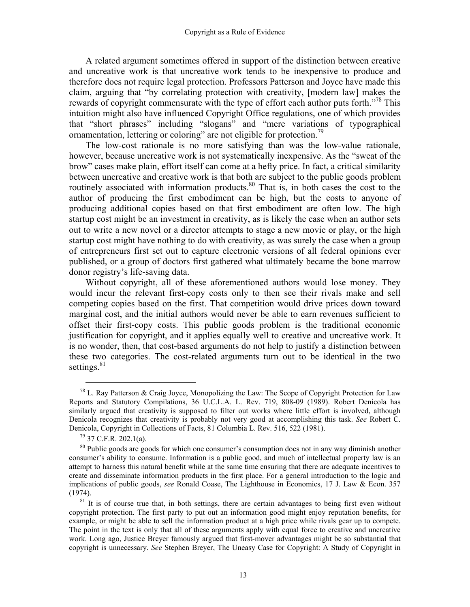<span id="page-14-3"></span>A related argument sometimes offered in support of the distinction between creative and uncreative work is that uncreative work tends to be inexpensive to produce and therefore does not require legal protection. Professors Patterson and Joyce have made this claim, arguing that "by correlating protection with creativity, [modern law] makes the rewards of copyright commensurate with the type of effort each author puts forth."<sup>78</sup> This intuition might also have influenced Copyright Office regulations, one of which provides that "short phrases" including "slogans" and "mere variations of typographical ornamentation, lettering or coloring" are not eligible for protection.<sup>19</sup>

The low-cost rationale is no more satisfying than was the low-value rationale, however, because uncreative work is not systematically inexpensive. As the "sweat of the brow" cases make plain, effort itself can come at a hefty price. In fact, a critical similarity between uncreative and creative work is that both are subject to the public goods problem routinely associated with information products. $80$  That is, in both cases the cost to the author of producing the first embodiment can be high, but the costs to anyone of producing additional copies based on that first embodiment are often low. The high startup cost might be an investment in creativity, as is likely the case when an author sets out to write a new novel or a director attempts to stage a new movie or play, or the high startup cost might have nothing to do with creativity, as was surely the case when a group of entrepreneurs first set out to capture electronic versions of all federal opinions ever published, or a group of doctors first gathered what ultimately became the bone marrow donor registry's life-saving data.

Without copyright, all of these aforementioned authors would lose money. They would incur the relevant first-copy costs only to then see their rivals make and sell competing copies based on the first. That competition would drive prices down toward marginal cost, and the initial authors would never be able to earn revenues sufficient to offset their first-copy costs. This public goods problem is the traditional economic justification for copyright, and it applies equally well to creative and uncreative work. It is no wonder, then, that cost-based arguments do not help to justify a distinction between these two categories. The cost-related arguments turn out to be identical in the two settings. $81$ 

<span id="page-14-0"></span><sup>&</sup>lt;sup>78</sup> L. Ray Patterson & Craig Joyce, Monopolizing the Law: The Scope of Copyright Protection for Law Reports and Statutory Compilations, 36 U.C.L.A. L. Rev. 719, 808-09 (1989). Robert Denicola has similarly argued that creativity is supposed to filter out works where little effort is involved, although Denicola recognizes that creativity is probably not very good at accomplishing this task. *See* Robert C. Denicola, Copyright in Collections of Facts, 81 Columbia L. Rev. 516, 522 (1981).<br><sup>79</sup> 37 C.F.R. 202.1(a).<br><sup>80</sup> Public goods are goods for which one consumer's consumption does not in any way diminish another

<span id="page-14-2"></span><span id="page-14-1"></span>

consumer's ability to consume. Information is a public good, and much of intellectual property law is an attempt to harness this natural benefit while at the same time ensuring that there are adequate incentives to create and disseminate information products in the first place. For a general introduction to the logic and implications of public goods, *see* Ronald Coase, The Lighthouse in Economics, 17 J. Law & Econ. 357  $(1974)$ .<br><sup>81</sup> It is of course true that, in both settings, there are certain advantages to being first even without

copyright protection. The first party to put out an information good might enjoy reputation benefits, for example, or might be able to sell the information product at a high price while rivals gear up to compete. The point in the text is only that all of these arguments apply with equal force to creative and uncreative work. Long ago, Justice Breyer famously argued that first-mover advantages might be so substantial that copyright is unnecessary. *See* Stephen Breyer, The Uneasy Case for Copyright: A Study of Copyright in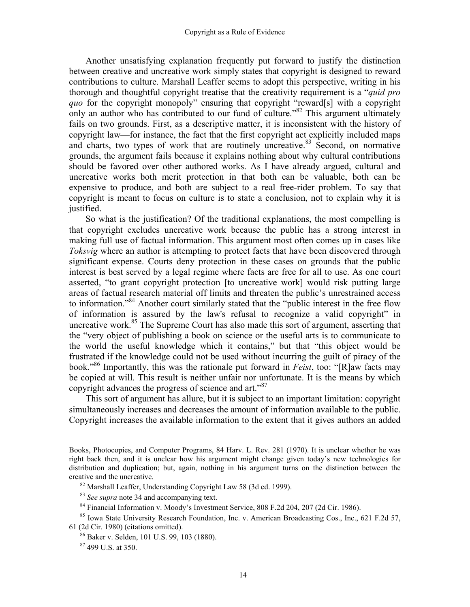Another unsatisfying explanation frequently put forward to justify the distinction between creative and uncreative work simply states that copyright is designed to reward contributions to culture. Marshall Leaffer seems to adopt this perspective, writing in his thorough and thoughtful copyright treatise that the creativity requirement is a "*quid pro quo* for the copyright monopoly" ensuring that copyright "reward[s] with a copyright only an author who has contributed to our fund of culture."<sup>82</sup> This argument ultimately fails on two grounds. First, as a descriptive matter, it is inconsistent with the history of copyright law—for instance, the fact that the first copyright act explicitly included maps and charts, two types of work that are routinely uncreative. $83\degree$  Second, on normative grounds, the argument fails because it explains nothing about why cultural contributions should be favored over other authored works. As I have already argued, cultural and uncreative works both merit protection in that both can be valuable, both can be expensive to produce, and both are subject to a real free-rider problem. To say that copyright is meant to focus on culture is to state a conclusion, not to explain why it is justified.

So what is the justification? Of the traditional explanations, the most compelling is that copyright excludes uncreative work because the public has a strong interest in making full use of factual information. This argument most often comes up in cases like *Toksvig* where an author is attempting to protect facts that have been discovered through significant expense. Courts deny protection in these cases on grounds that the public interest is best served by a legal regime where facts are free for all to use. As one court asserted, "to grant copyright protection [to uncreative work] would risk putting large areas of factual research material off limits and threaten the public's unrestrained access to information."<sup>84</sup> Another court similarly stated that the "public interest in the free flow of information is assured by the law's refusal to recognize a valid copyright" in uncreative work.<sup>85</sup> The Supreme Court has also made this sort of argument, asserting that the "very object of publishing a book on science or the useful arts is to communicate to the world the useful knowledge which it contains," but that "this object would be frustrated if the knowledge could not be used without incurring the guilt of piracy of the book."[86](#page-15-4) Importantly, this was the rationale put forward in *Feist*, too: "[R]aw facts may be copied at will. This result is neither unfair nor unfortunate. It is the means by which copyright advances the progress of science and art."[87](#page-15-5) 

This sort of argument has allure, but it is subject to an important limitation: copyright simultaneously increases and decreases the amount of information available to the public. Copyright increases the available information to the extent that it gives authors an added

Books, Photocopies, and Computer Programs, 84 Harv. L. Rev. 281 (1970). It is unclear whether he was right back then, and it is unclear how his argument might change given today's new technologies for distribution and duplication; but, again, nothing in his argument turns on the distinction between the

<span id="page-15-0"></span>

<span id="page-15-1"></span>

<span id="page-15-3"></span><span id="page-15-2"></span>

creative and the uncreative.<br><sup>82</sup> Marshall Leaffer, Understanding Copyright Law 58 (3d ed. 1999).<br><sup>83</sup> See supra note 34 and accompanying text.<br><sup>84</sup> Financial Information v. Moody's Investment Service, 808 F.2d 204, 207 (2

<span id="page-15-4"></span><sup>86</sup> Baker v. Selden, 101 U.S. 99, 103 (1880). <sup>87</sup> 499 U.S. at 350.

<span id="page-15-5"></span>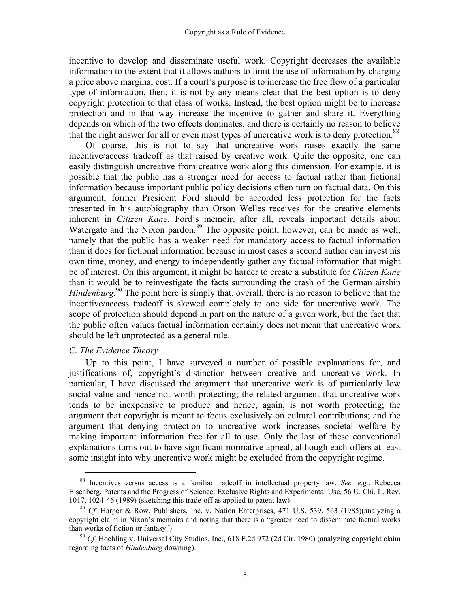incentive to develop and disseminate useful work. Copyright decreases the available information to the extent that it allows authors to limit the use of information by charging a price above marginal cost. If a court's purpose is to increase the free flow of a particular type of information, then, it is not by any means clear that the best option is to deny copyright protection to that class of works. Instead, the best option might be to increase protection and in that way increase the incentive to gather and share it. Everything depends on which of the two effects dominates, and there is certainly no reason to believe that the right answer for all or even most types of uncreative work is to deny protection.<sup>88</sup>

Of course, this is not to say that uncreative work raises exactly the same incentive/access tradeoff as that raised by creative work. Quite the opposite, one can easily distinguish uncreative from creative work along this dimension. For example, it is possible that the public has a stronger need for access to factual rather than fictional information because important public policy decisions often turn on factual data. On this argument, former President Ford should be accorded less protection for the facts presented in his autobiography than Orson Welles receives for the creative elements inherent in *Citizen Kane*. Ford's memoir, after all, reveals important details about Watergate and the Nixon pardon.<sup>89</sup> The opposite point, however, can be made as well, namely that the public has a weaker need for mandatory access to factual information than it does for fictional information because in most cases a second author can invest his own time, money, and energy to independently gather any factual information that might be of interest. On this argument, it might be harder to create a substitute for *Citizen Kane*  than it would be to reinvestigate the facts surrounding the crash of the German airship Hindenburg.<sup>90</sup> The point here is simply that, overall, there is no reason to believe that the incentive/access tradeoff is skewed completely to one side for uncreative work. The scope of protection should depend in part on the nature of a given work, but the fact that the public often values factual information certainly does not mean that uncreative work should be left unprotected as a general rule.

#### *C. The Evidence Theory*

<span id="page-16-0"></span> $\overline{a}$ 

Up to this point, I have surveyed a number of possible explanations for, and justifications of, copyright's distinction between creative and uncreative work. In particular, I have discussed the argument that uncreative work is of particularly low social value and hence not worth protecting; the related argument that uncreative work tends to be inexpensive to produce and hence, again, is not worth protecting; the argument that copyright is meant to focus exclusively on cultural contributions; and the argument that denying protection to uncreative work increases societal welfare by making important information free for all to use. Only the last of these conventional explanations turns out to have significant normative appeal, although each offers at least some insight into why uncreative work might be excluded from the copyright regime.

<sup>88</sup> Incentives versus access is a familiar tradeoff in intellectual property law. *See, e.g.*, Rebecca Eisenberg, Patents and the Progress of Science: Exclusive Rights and Experimental Use, 56 U. Chi. L. Rev. 1017, 1024-46 (1989) (sketching this trade-off as applied to patent law).<br><sup>89</sup> *Cf.* Harper & Row, Publishers, Inc. v. Nation Enterprises, 471 U.S. 539, 563 (1985)(analyzing a

<span id="page-16-1"></span>copyright claim in Nixon's memoirs and noting that there is a "greater need to disseminate factual works than works of fiction or fantasy").<br><sup>90</sup> *Cf.* Hoehling v. Universal City Studios, Inc., 618 F.2d 972 (2d Cir. 1980) (analyzing copyright claim

<span id="page-16-2"></span>regarding facts of *Hindenburg* downing).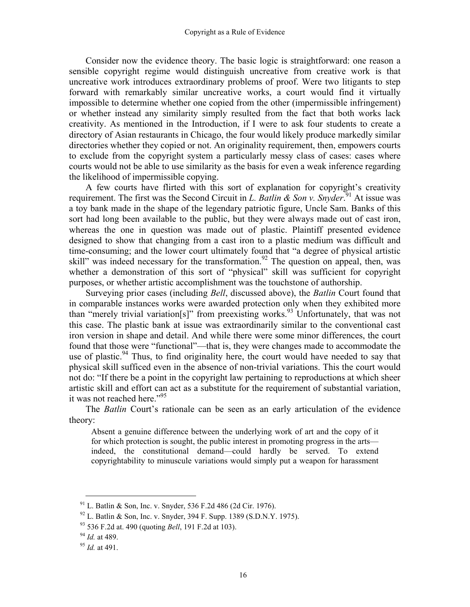Consider now the evidence theory. The basic logic is straightforward: one reason a sensible copyright regime would distinguish uncreative from creative work is that uncreative work introduces extraordinary problems of proof. Were two litigants to step forward with remarkably similar uncreative works, a court would find it virtually impossible to determine whether one copied from the other (impermissible infringement) or whether instead any similarity simply resulted from the fact that both works lack creativity. As mentioned in the Introduction, if I were to ask four students to create a directory of Asian restaurants in Chicago, the four would likely produce markedly similar directories whether they copied or not. An originality requirement, then, empowers courts to exclude from the copyright system a particularly messy class of cases: cases where courts would not be able to use similarity as the basis for even a weak inference regarding the likelihood of impermissible copying.

A few courts have flirted with this sort of explanation for copyright's creativity requirement. The first was the Second Circuit in *L. Batlin & Son v. Snyder*.<sup>91</sup> At issue was a toy bank made in the shape of the legendary patriotic figure, Uncle Sam. Banks of this sort had long been available to the public, but they were always made out of cast iron, whereas the one in question was made out of plastic. Plaintiff presented evidence designed to show that changing from a cast iron to a plastic medium was difficult and time-consuming; and the lower court ultimately found that "a degree of physical artistic skill" was indeed necessary for the transformation.<sup>92</sup> The question on appeal, then, was whether a demonstration of this sort of "physical" skill was sufficient for copyright purposes, or whether artistic accomplishment was the touchstone of authorship.

Surveying prior cases (including *Bell*, discussed above), the *Batlin* Court found that in comparable instances works were awarded protection only when they exhibited more than "merely trivial variation[s]" from preexisting works.<sup>93</sup> Unfortunately, that was not this case. The plastic bank at issue was extraordinarily similar to the conventional cast iron version in shape and detail. And while there were some minor differences, the court found that those were "functional"—that is, they were changes made to accommodate the use of plastic.<sup>94</sup> Thus, to find originality here, the court would have needed to say that physical skill sufficed even in the absence of non-trivial variations. This the court would not do: "If there be a point in the copyright law pertaining to reproductions at which sheer artistic skill and effort can act as a substitute for the requirement of substantial variation, it was not reached here."[95](#page-17-4) 

The *Batlin* Court's rationale can be seen as an early articulation of the evidence theory:

Absent a genuine difference between the underlying work of art and the copy of it for which protection is sought, the public interest in promoting progress in the arts indeed, the constitutional demand—could hardly be served. To extend copyrightability to minuscule variations would simply put a weapon for harassment

<span id="page-17-0"></span><sup>91</sup> L. Batlin & Son, Inc. v. Snyder, 536 F.2d 486 (2d Cir. 1976).

<span id="page-17-1"></span> $92$  L. Batlin & Son, Inc. v. Snyder, 394 F. Supp. 1389 (S.D.N.Y. 1975).

<span id="page-17-2"></span><sup>93 536</sup> F.2d at. 490 (quoting *Bell*, 191 F.2d at 103). 94 *Id.* at 489. 95 *Id.* at 491.

<span id="page-17-3"></span>

<span id="page-17-4"></span>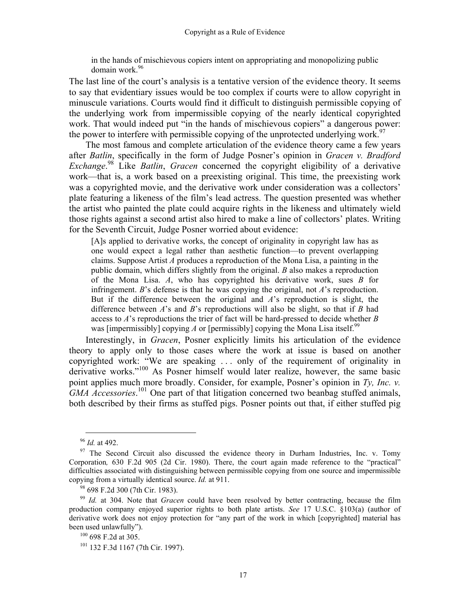in the hands of mischievous copiers intent on appropriating and monopolizing public domain work.[96](#page-18-0) 

The last line of the court's analysis is a tentative version of the evidence theory. It seems to say that evidentiary issues would be too complex if courts were to allow copyright in minuscule variations. Courts would find it difficult to distinguish permissible copying of the underlying work from impermissible copying of the nearly identical copyrighted work. That would indeed put "in the hands of mischievous copiers" a dangerous power: the power to interfere with permissible copying of the unprotected underlying work.<sup>97</sup>

The most famous and complete articulation of the evidence theory came a few years after *Batlin*, specifically in the form of Judge Posner's opinion in *Gracen v. Bradford Exchange*. [98](#page-18-2) Like *Batlin*, *Gracen* concerned the copyright eligibility of a derivative work—that is, a work based on a preexisting original. This time, the preexisting work was a copyrighted movie, and the derivative work under consideration was a collectors' plate featuring a likeness of the film's lead actress. The question presented was whether the artist who painted the plate could acquire rights in the likeness and ultimately wield those rights against a second artist also hired to make a line of collectors' plates. Writing for the Seventh Circuit, Judge Posner worried about evidence:

[A]s applied to derivative works, the concept of originality in copyright law has as one would expect a legal rather than aesthetic function—to prevent overlapping claims. Suppose Artist *A* produces a reproduction of the Mona Lisa, a painting in the public domain, which differs slightly from the original. *B* also makes a reproduction of the Mona Lisa. *A*, who has copyrighted his derivative work, sues *B* for infringement. *B*'s defense is that he was copying the original, not *A*'s reproduction. But if the difference between the original and *A*'s reproduction is slight, the difference between *A*'s and *B*'s reproductions will also be slight, so that if *B* had access to *A*'s reproductions the trier of fact will be hard-pressed to decide whether *B* was [impermissibly] copying  $A$  or [permissibly] copying the Mona Lisa itself.<sup>99</sup>

Interestingly, in *Gracen*, Posner explicitly limits his articulation of the evidence theory to apply only to those cases where the work at issue is based on another copyrighted work: "We are speaking . . . only of the requirement of originality in derivative works."[100](#page-18-4) As Posner himself would later realize, however, the same basic point applies much more broadly. Consider, for example, Posner's opinion in *Ty, Inc. v.*  GMA Accessories.<sup>101</sup> One part of that litigation concerned two beanbag stuffed animals, both described by their firms as stuffed pigs. Posner points out that, if either stuffed pig

<span id="page-18-1"></span><span id="page-18-0"></span>

<sup>&</sup>lt;sup>96</sup> *Id.* at 492.<br><sup>97</sup> The Second Circuit also discussed the evidence theory in Durham Industries, Inc. v. Tomy Corporation*,* 630 F.2d 905 (2d Cir. 1980). There, the court again made reference to the "practical" difficulties associated with distinguishing between permissible copying from one source and impermissible copying from a virtually identical source.  $Id$ . at  $911$ .

<span id="page-18-3"></span><span id="page-18-2"></span>

<sup>&</sup>lt;sup>98</sup> 698 F.2d 300 (7th Cir. 1983). <sup>98</sup> *Id.* at 304. Note that *Gracen* could have been resolved by better contracting, because the film production company enjoyed superior rights to both plate artists. *See* 17 U.S.C. §103(a) (author of derivative work does not enjoy protection for "any part of the work in which [copyrighted] material has been used unlawfully").<br> $^{100}$  698 F.2d at 305.

<span id="page-18-4"></span>

<span id="page-18-5"></span><sup>101 132</sup> F.3d 1167 (7th Cir. 1997).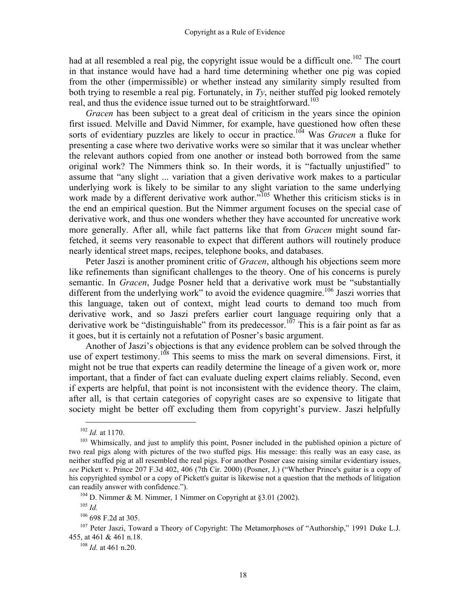had at all resembled a real pig, the copyright issue would be a difficult one.<sup>102</sup> The court in that instance would have had a hard time determining whether one pig was copied from the other (impermissible) or whether instead any similarity simply resulted from both trying to resemble a real pig. Fortunately, in *Ty*, neither stuffed pig looked remotely real, and thus the evidence issue turned out to be straightforward.<sup>[103](#page-19-1)</sup>

*Gracen* has been subject to a great deal of criticism in the years since the opinion first issued. Melville and David Nimmer, for example, have questioned how often these sorts of evidentiary puzzles are likely to occur in practice.[104](#page-19-2) Was *Gracen* a fluke for presenting a case where two derivative works were so similar that it was unclear whether the relevant authors copied from one another or instead both borrowed from the same original work? The Nimmers think so. In their words, it is "factually unjustified" to assume that "any slight ... variation that a given derivative work makes to a particular underlying work is likely to be similar to any slight variation to the same underlying work made by a different derivative work author."<sup>105</sup> Whether this criticism sticks is in the end an empirical question. But the Nimmer argument focuses on the special case of derivative work, and thus one wonders whether they have accounted for uncreative work more generally. After all, while fact patterns like that from *Gracen* might sound farfetched, it seems very reasonable to expect that different authors will routinely produce nearly identical street maps, recipes, telephone books, and databases.

Peter Jaszi is another prominent critic of *Gracen*, although his objections seem more like refinements than significant challenges to the theory. One of his concerns is purely semantic. In *Gracen*, Judge Posner held that a derivative work must be "substantially different from the underlying work" to avoid the evidence quagmire.<sup>106</sup> Jaszi worries that this language, taken out of context, might lead courts to demand too much from derivative work, and so Jaszi prefers earlier court language requiring only that a derivative work be "distinguishable" from its predecessor.<sup>107</sup> This is a fair point as far as it goes, but it is certainly not a refutation of Posner's basic argument.

Another of Jaszi's objections is that any evidence problem can be solved through the use of expert testimony.<sup>108</sup> This seems to miss the mark on several dimensions. First, it might not be true that experts can readily determine the lineage of a given work or, more important, that a finder of fact can evaluate dueling expert claims reliably. Second, even if experts are helpful, that point is not inconsistent with the evidence theory. The claim, after all, is that certain categories of copyright cases are so expensive to litigate that society might be better off excluding them from copyright's purview. Jaszi helpfully

<span id="page-19-6"></span>

<span id="page-19-1"></span><span id="page-19-0"></span>

<sup>&</sup>lt;sup>102</sup> *Id.* at 1170.<br><sup>103</sup> Whimsically, and just to amplify this point, Posner included in the published opinion a picture of two real pigs along with pictures of the two stuffed pigs. His message: this really was an easy case, as neither stuffed pig at all resembled the real pigs. For another Posner case raising similar evidentiary issues, *see* Pickett v. Prince 207 F.3d 402, 406 (7th Cir. 2000) (Posner, J.) ("Whether Prince's guitar is a copy of his copyrighted symbol or a copy of Pickett's guitar is likewise not a question that the methods of litigation can readily answer with confidence.").<br><sup>104</sup> D. Nimmer & M. Nimmer, 1 Nimmer on Copyright at §3.01 (2002).

<span id="page-19-2"></span>

<span id="page-19-3"></span><sup>105</sup> *Id.*

<span id="page-19-5"></span><span id="page-19-4"></span>

 $106$  698 F.2d at 305.<br><sup>107</sup> Peter Jaszi, Toward a Theory of Copyright: The Metamorphoses of "Authorship," 1991 Duke L.J. 455, at 461 & 461 n.18. 108 *Id.* at 461 n.20.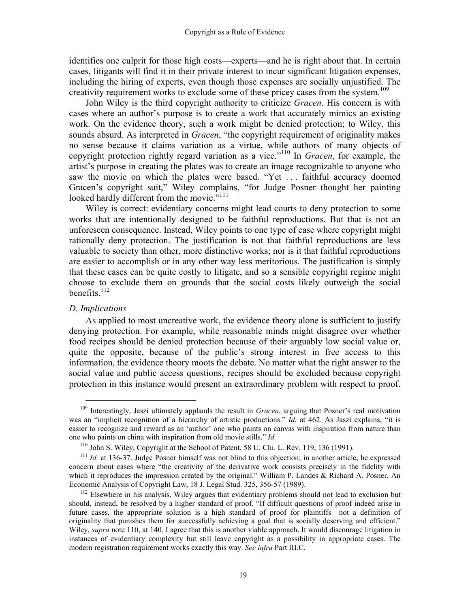identifies one culprit for those high costs—experts—and he is right about that. In certain cases, litigants will find it in their private interest to incur significant litigation expenses, including the hiring of experts, even though those expenses are socially unjustified. The creativity requirement works to exclude some of these pricey cases from the system. [109](#page-20-0) 

John Wiley is the third copyright authority to criticize *Gracen*. His concern is with cases where an author's purpose is to create a work that accurately mimics an existing work. On the evidence theory, such a work might be denied protection; to Wiley, this sounds absurd. As interpreted in *Gracen*, "the copyright requirement of originality makes no sense because it claims variation as a virtue, while authors of many objects of copyright protection rightly regard variation as a vice."[110](#page-20-1) In *Gracen*, for example, the artist's purpose in creating the plates was to create an image recognizable to anyone who saw the movie on which the plates were based. "Yet . . . faithful accuracy doomed Gracen's copyright suit," Wiley complains, "for Judge Posner thought her painting looked hardly different from the movie."<sup>111</sup>

Wiley is correct: evidentiary concerns might lead courts to deny protection to some works that are intentionally designed to be faithful reproductions. But that is not an unforeseen consequence. Instead, Wiley points to one type of case where copyright might rationally deny protection. The justification is not that faithful reproductions are less valuable to society than other, more distinctive works; nor is it that faithful reproductions are easier to accomplish or in any other way less meritorious. The justification is simply that these cases can be quite costly to litigate, and so a sensible copyright regime might choose to exclude them on grounds that the social costs likely outweigh the social benefits. $112$ 

#### *D. Implications*

<span id="page-20-0"></span> $\overline{a}$ 

As applied to most uncreative work, the evidence theory alone is sufficient to justify denying protection. For example, while reasonable minds might disagree over whether food recipes should be denied protection because of their arguably low social value or, quite the opposite, because of the public's strong interest in free access to this information, the evidence theory moots the debate. No matter what the right answer to the social value and public access questions, recipes should be excluded because copyright protection in this instance would present an extraordinary problem with respect to proof.

<sup>109</sup> Interestingly, Jaszi ultimately applauds the result in *Gracen*, arguing that Posner's real motivation was an "implicit recognition of a hierarchy of artistic productions." *Id.* at 462. As Jaszi explains, "it is easier to recognize and reward as an 'author' one who paints on canvas with inspiration from nature than one who paints on china with inspiration from old movie stills." *Id.*

<span id="page-20-2"></span><span id="page-20-1"></span><sup>&</sup>lt;sup>110</sup> John S. Wiley, Copyright at the School of Patent, 58 U. Chi. L. Rev. 119, 136 (1991).<br><sup>111</sup> *Id.* at 136-37. Judge Posner himself was not blind to this objection; in another article, he expressed

concern about cases where "the creativity of the derivative work consists precisely in the fidelity with which it reproduces the impression created by the original." William P. Landes & Richard A. Posner, An Economic Analysis of Copyright Law, 18 J. Legal Stud. 325, 356-57 (1989).<br><sup>112</sup> Elsewhere in his analysis, Wiley argues that evidentiary problems should not lead to exclusion but

<span id="page-20-3"></span>should, instead, be resolved by a higher standard of proof. "If difficult questions of proof indeed arise in future cases, the appropriate solution is a high standard of proof for plaintiffs—not a definition of originality that punishes them for successfully achieving a goal that is socially deserving and efficient." Wiley, *supra* note 110, at 140. I agree that this is another viable approach. It would discourage litigation in instances of evidentiary complexity but still leave copyright as a possibility in appropriate cases. The modern registration requirement works exactly this way. *See infra* Part III.C.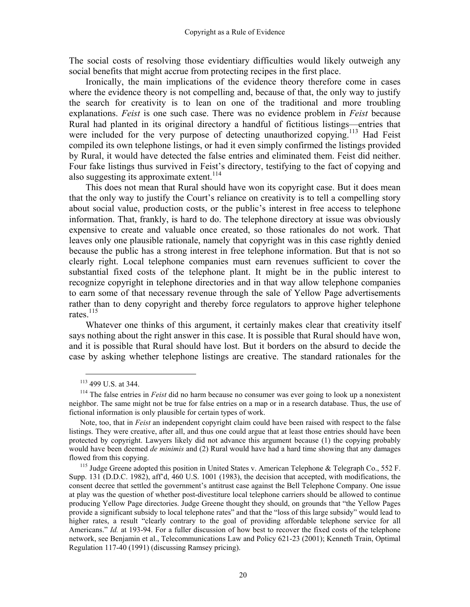The social costs of resolving those evidentiary difficulties would likely outweigh any social benefits that might accrue from protecting recipes in the first place.

Ironically, the main implications of the evidence theory therefore come in cases where the evidence theory is not compelling and, because of that, the only way to justify the search for creativity is to lean on one of the traditional and more troubling explanations. *Feist* is one such case. There was no evidence problem in *Feist* because Rural had planted in its original directory a handful of fictitious listings—entries that were included for the very purpose of detecting unauthorized copying.<sup>113</sup> Had Feist compiled its own telephone listings, or had it even simply confirmed the listings provided by Rural, it would have detected the false entries and eliminated them. Feist did neither. Four fake listings thus survived in Feist's directory, testifying to the fact of copying and also suggesting its approximate extent.<sup>114</sup>

This does not mean that Rural should have won its copyright case. But it does mean that the only way to justify the Court's reliance on creativity is to tell a compelling story about social value, production costs, or the public's interest in free access to telephone information. That, frankly, is hard to do. The telephone directory at issue was obviously expensive to create and valuable once created, so those rationales do not work. That leaves only one plausible rationale, namely that copyright was in this case rightly denied because the public has a strong interest in free telephone information. But that is not so clearly right. Local telephone companies must earn revenues sufficient to cover the substantial fixed costs of the telephone plant. It might be in the public interest to recognize copyright in telephone directories and in that way allow telephone companies to earn some of that necessary revenue through the sale of Yellow Page advertisements rather than to deny copyright and thereby force regulators to approve higher telephone rates $^{115}$  $^{115}$  $^{115}$ 

Whatever one thinks of this argument, it certainly makes clear that creativity itself says nothing about the right answer in this case. It is possible that Rural should have won, and it is possible that Rural should have lost. But it borders on the absurd to decide the case by asking whether telephone listings are creative. The standard rationales for the

<span id="page-21-1"></span><span id="page-21-0"></span>

<sup>&</sup>lt;sup>113</sup> 499 U.S. at 344.<br><sup>114</sup> The false entries in *Feist* did no harm because no consumer was ever going to look up a nonexistent neighbor. The same might not be true for false entries on a map or in a research database. Thus, the use of fictional information is only plausible for certain types of work.

Note, too, that in *Feist* an independent copyright claim could have been raised with respect to the false listings. They were creative, after all, and thus one could argue that at least those entries should have been protected by copyright. Lawyers likely did not advance this argument because (1) the copying probably would have been deemed *de minimis* and (2) Rural would have had a hard time showing that any damages flowed from this copying.<br><sup>115</sup> Judge Greene adopted this position in United States v. American Telephone & Telegraph Co., 552 F.

<span id="page-21-2"></span>Supp. 131 (D.D.C. 1982), aff'd, 460 U.S. 1001 (1983), the decision that accepted, with modifications, the consent decree that settled the government's antitrust case against the Bell Telephone Company. One issue at play was the question of whether post-divestiture local telephone carriers should be allowed to continue producing Yellow Page directories. Judge Greene thought they should, on grounds that "the Yellow Pages provide a significant subsidy to local telephone rates" and that the "loss of this large subsidy" would lead to higher rates, a result "clearly contrary to the goal of providing affordable telephone service for all Americans." *Id.* at 193-94. For a fuller discussion of how best to recover the fixed costs of the telephone network, see Benjamin et al., Telecommunications Law and Policy 621-23 (2001); Kenneth Train, Optimal Regulation 117-40 (1991) (discussing Ramsey pricing).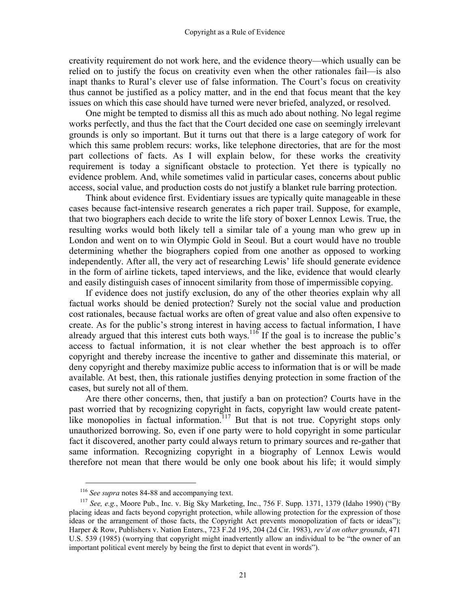creativity requirement do not work here, and the evidence theory—which usually can be relied on to justify the focus on creativity even when the other rationales fail—is also inapt thanks to Rural's clever use of false information. The Court's focus on creativity thus cannot be justified as a policy matter, and in the end that focus meant that the key issues on which this case should have turned were never briefed, analyzed, or resolved.

One might be tempted to dismiss all this as much ado about nothing. No legal regime works perfectly, and thus the fact that the Court decided one case on seemingly irrelevant grounds is only so important. But it turns out that there is a large category of work for which this same problem recurs: works, like telephone directories, that are for the most part collections of facts. As I will explain below, for these works the creativity requirement is today a significant obstacle to protection. Yet there is typically no evidence problem. And, while sometimes valid in particular cases, concerns about public access, social value, and production costs do not justify a blanket rule barring protection.

Think about evidence first. Evidentiary issues are typically quite manageable in these cases because fact-intensive research generates a rich paper trail. Suppose, for example, that two biographers each decide to write the life story of boxer Lennox Lewis. True, the resulting works would both likely tell a similar tale of a young man who grew up in London and went on to win Olympic Gold in Seoul. But a court would have no trouble determining whether the biographers copied from one another as opposed to working independently. After all, the very act of researching Lewis' life should generate evidence in the form of airline tickets, taped interviews, and the like, evidence that would clearly and easily distinguish cases of innocent similarity from those of impermissible copying.

If evidence does not justify exclusion, do any of the other theories explain why all factual works should be denied protection? Surely not the social value and production cost rationales, because factual works are often of great value and also often expensive to create. As for the public's strong interest in having access to factual information, I have already argued that this interest cuts both ways.<sup>116</sup> If the goal is to increase the public's access to factual information, it is not clear whether the best approach is to offer copyright and thereby increase the incentive to gather and disseminate this material, or deny copyright and thereby maximize public access to information that is or will be made available. At best, then, this rationale justifies denying protection in some fraction of the cases, but surely not all of them.

Are there other concerns, then, that justify a ban on protection? Courts have in the past worried that by recognizing copyright in facts, copyright law would create patentlike monopolies in factual information.<sup>117</sup> But that is not true. Copyright stops only unauthorized borrowing. So, even if one party were to hold copyright in some particular fact it discovered, another party could always return to primary sources and re-gather that same information. Recognizing copyright in a biography of Lennox Lewis would therefore not mean that there would be only one book about his life; it would simply

<span id="page-22-1"></span><span id="page-22-0"></span>

<sup>&</sup>lt;sup>116</sup> *See supra* notes 84-88 and accompanying text.<br><sup>117</sup> *See, e.g.*, Moore Pub., Inc. v. Big Sky Marketing, Inc., 756 F. Supp. 1371, 1379 (Idaho 1990) ("By placing ideas and facts beyond copyright protection, while allowing protection for the expression of those ideas or the arrangement of those facts, the Copyright Act prevents monopolization of facts or ideas"); Harper & Row, Publishers v. Nation Enters., 723 F.2d 195, 204 (2d Cir. 1983), *rev'd on other grounds*, 471 U.S. 539 (1985) (worrying that copyright might inadvertently allow an individual to be "the owner of an important political event merely by being the first to depict that event in words").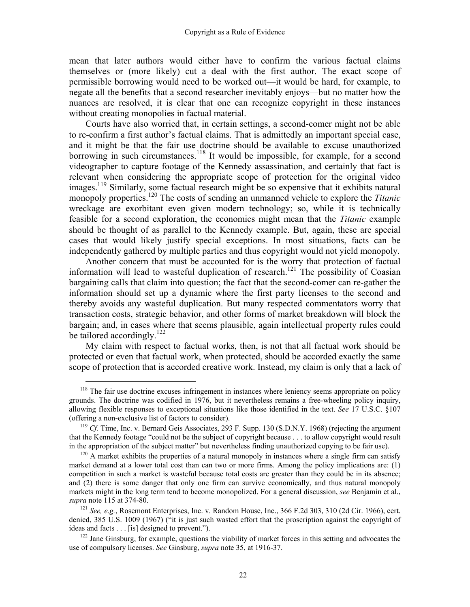mean that later authors would either have to confirm the various factual claims themselves or (more likely) cut a deal with the first author. The exact scope of permissible borrowing would need to be worked out—it would be hard, for example, to negate all the benefits that a second researcher inevitably enjoys—but no matter how the nuances are resolved, it is clear that one can recognize copyright in these instances without creating monopolies in factual material.

Courts have also worried that, in certain settings, a second-comer might not be able to re-confirm a first author's factual claims. That is admittedly an important special case, and it might be that the fair use doctrine should be available to excuse unauthorized borrowing in such circumstances.<sup>118</sup> It would be impossible, for example, for a second videographer to capture footage of the Kennedy assassination, and certainly that fact is relevant when considering the appropriate scope of protection for the original video images.<sup>119</sup> Similarly, some factual research might be so expensive that it exhibits natural monopoly properties[.120](#page-23-2) The costs of sending an unmanned vehicle to explore the *Titanic* wreckage are exorbitant even given modern technology; so, while it is technically feasible for a second exploration, the economics might mean that the *Titanic* example should be thought of as parallel to the Kennedy example. But, again, these are special cases that would likely justify special exceptions. In most situations, facts can be independently gathered by multiple parties and thus copyright would not yield monopoly.

Another concern that must be accounted for is the worry that protection of factual information will lead to wasteful duplication of research.<sup>121</sup> The possibility of Coasian bargaining calls that claim into question; the fact that the second-comer can re-gather the information should set up a dynamic where the first party licenses to the second and thereby avoids any wasteful duplication. But many respected commentators worry that transaction costs, strategic behavior, and other forms of market breakdown will block the bargain; and, in cases where that seems plausible, again intellectual property rules could be tailored accordingly.<sup>[122](#page-23-4)</sup>

My claim with respect to factual works, then, is not that all factual work should be protected or even that factual work, when protected, should be accorded exactly the same scope of protection that is accorded creative work. Instead, my claim is only that a lack of

<span id="page-23-0"></span><sup>&</sup>lt;sup>118</sup> The fair use doctrine excuses infringement in instances where leniency seems appropriate on policy grounds. The doctrine was codified in 1976, but it nevertheless remains a free-wheeling policy inquiry, allowing flexible responses to exceptional situations like those identified in the text. *See* 17 U.S.C. §107 (offering a non-exclusive list of factors to consider).<br><sup>119</sup> *Cf.* Time, Inc. v. Bernard Geis Associates, 293 F. Supp. 130 (S.D.N.Y. 1968) (rejecting the argument

<span id="page-23-1"></span>that the Kennedy footage "could not be the subject of copyright because . . . to allow copyright would result in the appropriation of the subject matter" but nevertheless finding unauthorized copying to be fair use).<br><sup>120</sup> A market exhibits the properties of a natural monopoly in instances where a single firm can satisfy

<span id="page-23-2"></span>market demand at a lower total cost than can two or more firms. Among the policy implications are: (1) competition in such a market is wasteful because total costs are greater than they could be in its absence; and (2) there is some danger that only one firm can survive economically, and thus natural monopoly markets might in the long term tend to become monopolized. For a general discussion, *see* Benjamin et al., *supra* note 115 at 374-80.

<span id="page-23-3"></span><sup>&</sup>lt;sup>121</sup> *See, e.g.*, Rosemont Enterprises, Inc. v. Random House, Inc., 366 F.2d 303, 310 (2d Cir. 1966), cert. denied, 385 U.S. 1009 (1967) ("it is just such wasted effort that the proscription against the copyright of ideas and facts . . . [is] designed to prevent.").<br><sup>122</sup> Jane Ginsburg, for example, questions the viability of market forces in this setting and advocates the

<span id="page-23-4"></span>use of compulsory licenses. *See* Ginsburg, *supra* note 35, at 1916-37.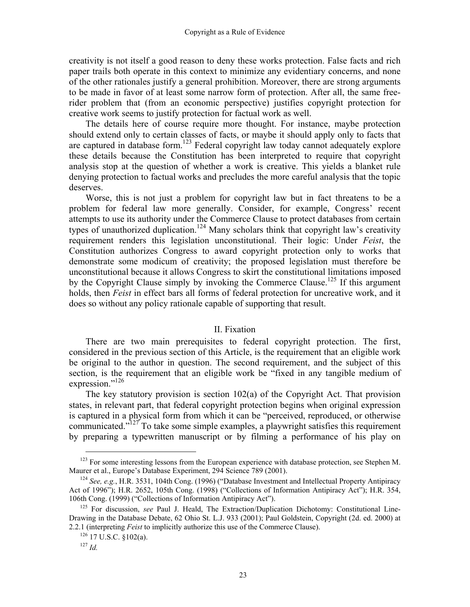creativity is not itself a good reason to deny these works protection. False facts and rich paper trails both operate in this context to minimize any evidentiary concerns, and none of the other rationales justify a general prohibition. Moreover, there are strong arguments to be made in favor of at least some narrow form of protection. After all, the same freerider problem that (from an economic perspective) justifies copyright protection for creative work seems to justify protection for factual work as well.

The details here of course require more thought. For instance, maybe protection should extend only to certain classes of facts, or maybe it should apply only to facts that are captured in database form.<sup>123</sup> Federal copyright law today cannot adequately explore these details because the Constitution has been interpreted to require that copyright analysis stop at the question of whether a work is creative. This yields a blanket rule denying protection to factual works and precludes the more careful analysis that the topic deserves.

Worse, this is not just a problem for copyright law but in fact threatens to be a problem for federal law more generally. Consider, for example, Congress' recent attempts to use its authority under the Commerce Clause to protect databases from certain types of unauthorized duplication.<sup>124</sup> Many scholars think that copyright law's creativity requirement renders this legislation unconstitutional. Their logic: Under *Feist*, the Constitution authorizes Congress to award copyright protection only to works that demonstrate some modicum of creativity; the proposed legislation must therefore be unconstitutional because it allows Congress to skirt the constitutional limitations imposed by the Copyright Clause simply by invoking the Commerce Clause.<sup>125</sup> If this argument holds, then *Feist* in effect bars all forms of federal protection for uncreative work, and it does so without any policy rationale capable of supporting that result.

#### II. Fixation

There are two main prerequisites to federal copyright protection. The first, considered in the previous section of this Article, is the requirement that an eligible work be original to the author in question. The second requirement, and the subject of this section, is the requirement that an eligible work be "fixed in any tangible medium of expression."<sup>126</sup>

The key statutory provision is section 102(a) of the Copyright Act. That provision states, in relevant part, that federal copyright protection begins when original expression is captured in a physical form from which it can be "perceived, reproduced, or otherwise communicated. $127 \text{ To take some simple examples, a playwright satisfies this requirement}$  $127 \text{ To take some simple examples, a playwright satisfies this requirement}$ by preparing a typewritten manuscript or by filming a performance of his play on

<span id="page-24-0"></span><sup>&</sup>lt;sup>123</sup> For some interesting lessons from the European experience with database protection, see Stephen M. Maurer et al., Europe's Database Experiment, 294 Science 789 (2001). 124 *See, e.g.*, H.R. 3531, 104th Cong. (1996) ("Database Investment and Intellectual Property Antipiracy

<span id="page-24-1"></span>Act of 1996"); H.R. 2652, 105th Cong. (1998) ("Collections of Information Antipiracy Act"); H.R. 354, 106th Cong. (1999) ("Collections of Information Antipiracy Act").

<span id="page-24-2"></span><sup>&</sup>lt;sup>125</sup> For discussion, *see* Paul J. Heald, The Extraction/Duplication Dichotomy: Constitutional Line-Drawing in the Database Debate, 62 Ohio St. L.J. 933 (2001); Paul Goldstein, Copyright (2d. ed. 2000) at 2.2.1 (interpreting *Feist* to implicitly authorize this use of the Commerce Clause).

<span id="page-24-3"></span><sup>126 17</sup> U.S.C. §102(a). 127 *Id.*

<span id="page-24-4"></span>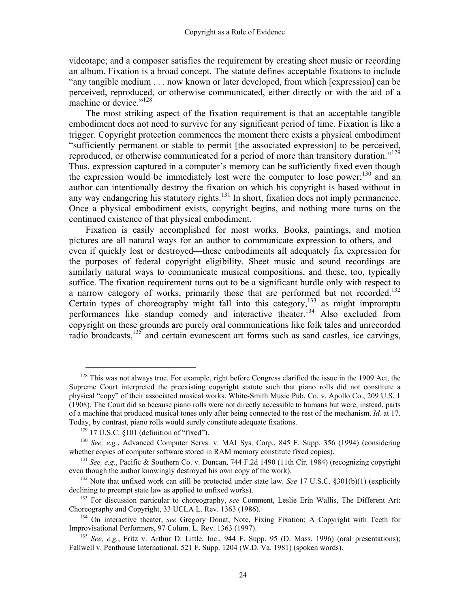videotape; and a composer satisfies the requirement by creating sheet music or recording an album. Fixation is a broad concept. The statute defines acceptable fixations to include "any tangible medium . . . now known or later developed, from which [expression] can be perceived, reproduced, or otherwise communicated, either directly or with the aid of a machine or device."<sup>128</sup>

The most striking aspect of the fixation requirement is that an acceptable tangible embodiment does not need to survive for any significant period of time. Fixation is like a trigger. Copyright protection commences the moment there exists a physical embodiment "sufficiently permanent or stable to permit [the associated expression] to be perceived, reproduced, or otherwise communicated for a period of more than transitory duration."<sup>129</sup> Thus, expression captured in a computer's memory can be sufficiently fixed even though the expression would be immediately lost were the computer to lose power;  $130$  and an author can intentionally destroy the fixation on which his copyright is based without in any way endangering his statutory rights.<sup>131</sup> In short, fixation does not imply permanence. Once a physical embodiment exists, copyright begins, and nothing more turns on the continued existence of that physical embodiment.

Fixation is easily accomplished for most works. Books, paintings, and motion pictures are all natural ways for an author to communicate expression to others, and even if quickly lost or destroyed—these embodiments all adequately fix expression for the purposes of federal copyright eligibility. Sheet music and sound recordings are similarly natural ways to communicate musical compositions, and these, too, typically suffice. The fixation requirement turns out to be a significant hurdle only with respect to a narrow category of works, primarily those that are performed but not recorded.<sup>132</sup> Certain types of choreography might fall into this category, $133$  as might impromptu performances like standup comedy and interactive theater.<sup>134</sup> Also excluded from copyright on these grounds are purely oral communications like folk tales and unrecorded radio broadcasts,  $135$  and certain evanescent art forms such as sand castles, ice carvings,

<span id="page-25-0"></span><sup>&</sup>lt;sup>128</sup> This was not always true. For example, right before Congress clarified the issue in the 1909 Act, the Supreme Court interpreted the preexisting copyright statute such that piano rolls did not constitute a physical "copy" of their associated musical works. White-Smith Music Pub. Co. v. Apollo Co., 209 U.S. 1 (1908). The Court did so because piano rolls were not directly accessible to humans but were, instead, parts of a machine that produced musical tones only after being connected to the rest of the mechanism. *Id.* at 17. Today, by contrast, piano rolls would surely constitute adequate fixations.

<span id="page-25-2"></span><span id="page-25-1"></span>

<sup>&</sup>lt;sup>129</sup> 17 U.S.C. §101 (definition of "fixed").<br><sup>130</sup> *See, e.g.*, Advanced Computer Servs. v. MAI Sys. Corp., 845 F. Supp. 356 (1994) (considering whether copies of computer software stored in RAM memory constitute fixed co

<span id="page-25-3"></span><sup>&</sup>lt;sup>131</sup> *See, e.g.*, Pacific & Southern Co. v. Duncan, 744 F.2d 1490 (11th Cir. 1984) (recognizing copyright even though the author knowingly destroyed his own copy of the work).

<span id="page-25-4"></span><sup>&</sup>lt;sup>132</sup> Note that unfixed work can still be protected under state law. *See* 17 U.S.C. §301(b)(1) (explicitly declining to preempt state law as applied to unfixed works).

<span id="page-25-5"></span><sup>&</sup>lt;sup>133</sup> For discussion particular to choreography, *see* Comment, Leslie Erin Wallis, The Different Art:

<span id="page-25-6"></span>Choreography and Copyright, 33 UCLA L. Rev. 1363 (1986).<br><sup>134</sup> On interactive theater, *see* Gregory Donat, Note, Fixing Fixation: A Copyright with Teeth for<br>Improvisational Performers, 97 Colum. L. Rev. 1363 (1997).

<span id="page-25-7"></span><sup>&</sup>lt;sup>135</sup> *See, e.g.*, Fritz v. Arthur D. Little, Inc., 944 F. Supp. 95 (D. Mass. 1996) (oral presentations); Fallwell v. Penthouse International, 521 F. Supp. 1204 (W.D. Va. 1981) (spoken words).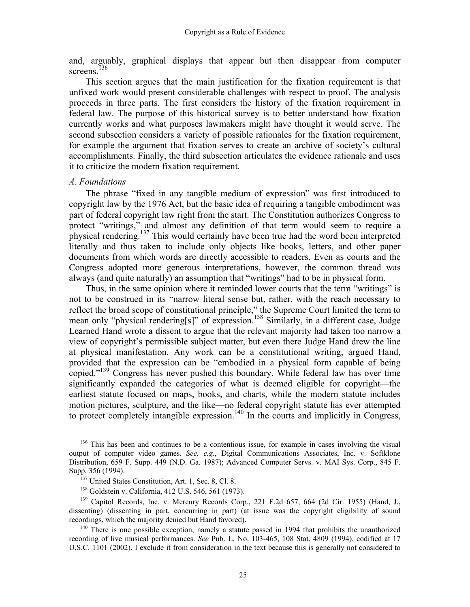<span id="page-26-4"></span>and, arguably, graphical displays that appear but then disappear from computer screens.<sup>136</sup>

This section argues that the main justification for the fixation requirement is that unfixed work would present considerable challenges with respect to proof. The analysis proceeds in three parts. The first considers the history of the fixation requirement in federal law. The purpose of this historical survey is to better understand how fixation currently works and what purposes lawmakers might have thought it would serve. The second subsection considers a variety of possible rationales for the fixation requirement, for example the argument that fixation serves to create an archive of society's cultural accomplishments. Finally, the third subsection articulates the evidence rationale and uses it to criticize the modern fixation requirement.

#### *A. Foundations*

<span id="page-26-0"></span> $\overline{a}$ 

The phrase "fixed in any tangible medium of expression" was first introduced to copyright law by the 1976 Act, but the basic idea of requiring a tangible embodiment was part of federal copyright law right from the start. The Constitution authorizes Congress to protect "writings," and almost any definition of that term would seem to require a physical rendering.<sup>137</sup> This would certainly have been true had the word been interpreted literally and thus taken to include only objects like books, letters, and other paper documents from which words are directly accessible to readers. Even as courts and the Congress adopted more generous interpretations, however, the common thread was always (and quite naturally) an assumption that "writings" had to be in physical form.

Thus, in the same opinion where it reminded lower courts that the term "writings" is not to be construed in its "narrow literal sense but, rather, with the reach necessary to reflect the broad scope of constitutional principle," the Supreme Court limited the term to mean only "physical rendering[s]" of expression.<sup>138</sup> Similarly, in a different case, Judge Learned Hand wrote a dissent to argue that the relevant majority had taken too narrow a view of copyright's permissible subject matter, but even there Judge Hand drew the line at physical manifestation. Any work can be a constitutional writing, argued Hand, provided that the expression can be "embodied in a physical form capable of being copied."<sup>139</sup> Congress has never pushed this boundary. While federal law has over time significantly expanded the categories of what is deemed eligible for copyright—the earliest statute focused on maps, books, and charts, while the modern statute includes motion pictures, sculpture, and the like—no federal copyright statute has ever attempted to protect completely intangible expression.<sup>140</sup> In the courts and implicitly in Congress,

 $136$  This has been and continues to be a contentious issue, for example in cases involving the visual output of computer video games. *See, e.g.*, Digital Communications Associates, Inc. v. Softklone Distribution, 659 F. Supp. 449 (N.D. Ga. 1987); Advanced Computer Servs. v. MAI Sys. Corp., 845 F. Supp. 356 (1994).

<span id="page-26-1"></span><sup>&</sup>lt;sup>137</sup> United States Constitution, Art. 1, Sec. 8, Cl. 8.

<span id="page-26-3"></span><span id="page-26-2"></span>

<sup>&</sup>lt;sup>138</sup> Goldstein v. California, 412 U.S. 546, 561 (1973).<br><sup>139</sup> Capitol Records, Inc. v. Mercury Records Corp., 221 F.2d 657, 664 (2d Cir. 1955) (Hand, J., dissenting) (dissenting in part, concurring in part) (at issue was the copyright eligibility of sound recordings, which the majority denied but Hand favored).

 $140$  There is one possible exception, namely a statute passed in 1994 that prohibits the unauthorized recording of live musical performances. *See* Pub. L. No. 103-465, 108 Stat. 4809 (1994), codified at 17 U.S.C. 1101 (2002). I exclude it from consideration in the text because this is generally not considered to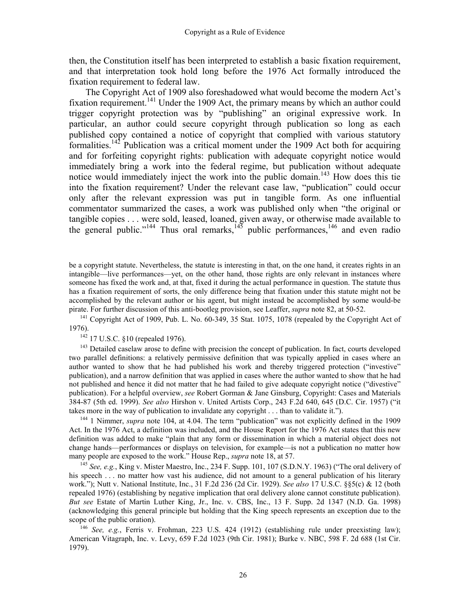then, the Constitution itself has been interpreted to establish a basic fixation requirement, and that interpretation took hold long before the 1976 Act formally introduced the fixation requirement to federal law.

The Copyright Act of 1909 also foreshadowed what would become the modern Act's fixation requirement.<sup>141</sup> Under the 1909 Act, the primary means by which an author could trigger copyright protection was by "publishing" an original expressive work. In particular, an author could secure copyright through publication so long as each published copy contained a notice of copyright that complied with various statutory formalities.<sup>142</sup> Publication was a critical moment under the 1909 Act both for acquiring and for forfeiting copyright rights: publication with adequate copyright notice would immediately bring a work into the federal regime, but publication without adequate notice would immediately inject the work into the public domain.<sup>143</sup> How does this tie into the fixation requirement? Under the relevant case law, "publication" could occur only after the relevant expression was put in tangible form. As one influential commentator summarized the cases, a work was published only when "the original or tangible copies . . . were sold, leased, loaned, given away, or otherwise made available to the general public."<sup>144</sup> Thus oral remarks,<sup>145</sup> public performances,<sup>146</sup> and even radio

be a copyright statute. Nevertheless, the statute is interesting in that, on the one hand, it creates rights in an intangible—live performances—yet, on the other hand, those rights are only relevant in instances where someone has fixed the work and, at that, fixed it during the actual performance in question. The statute thus has a fixation requirement of sorts, the only difference being that fixation under this statute might not be accomplished by the relevant author or his agent, but might instead be accomplished by some would-be pirate. For further discussion of this anti-bootleg provision, see Leaffer, *supra* note 82, at 50-52.<br><sup>141</sup> Copyright Act of 1909, Pub. L. No. 60-349, 35 Stat. 1075, 1078 (repealed by the Copyright Act of

<span id="page-27-0"></span>1976).<br><sup>142</sup> 17 U.S.C. §10 (repealed 1976).<br><sup>143</sup> Detailed caselaw arose to define with precision the concept of publication. In fact, courts developed

<span id="page-27-2"></span><span id="page-27-1"></span>

two parallel definitions: a relatively permissive definition that was typically applied in cases where an author wanted to show that he had published his work and thereby triggered protection ("investive" publication), and a narrow definition that was applied in cases where the author wanted to show that he had not published and hence it did not matter that he had failed to give adequate copyright notice ("divestive" publication). For a helpful overview, *see* Robert Gorman & Jane Ginsburg, Copyright: Cases and Materials 384-87 (5th ed. 1999). *See also* Hirshon v. United Artists Corp., 243 F.2d 640, 645 (D.C. Cir. 1957) ("it takes more in the way of publication to invalidate any copyright . . . than to validate it.").<br><sup>144</sup> 1 Nimmer, *supra* note 104, at 4.04. The term "publication" was not explicitly defined in the 1909

<span id="page-27-3"></span>Act. In the 1976 Act, a definition was included, and the House Report for the 1976 Act states that this new definition was added to make "plain that any form or dissemination in which a material object does not change hands—performances or displays on television, for example—is not a publication no matter how many people are exposed to the work." House Rep., *supra* note 18, at 57.<br><sup>145</sup> *See, e.g.*, King v. Mister Maestro, Inc., 234 F. Supp. 101, 107 (S.D.N.Y. 1963) ("The oral delivery of

<span id="page-27-4"></span>his speech . . . no matter how vast his audience, did not amount to a general publication of his literary work."); Nutt v. National Institute, Inc., 31 F.2d 236 (2d Cir. 1929). *See also* 17 U.S.C. §§5(c) & 12 (both repealed 1976) (establishing by negative implication that oral delivery alone cannot constitute publication). *But see* Estate of Martin Luther King, Jr., Inc. v. CBS, Inc., 13 F. Supp. 2d 1347 (N.D. Ga. 1998) (acknowledging this general principle but holding that the King speech represents an exception due to the scope of the public oration). 146 *See, e.g.*, Ferris v. Frohman, 223 U.S. 424 (1912) (establishing rule under preexisting law);

<span id="page-27-5"></span>American Vitagraph, Inc. v. Levy, 659 F.2d 1023 (9th Cir. 1981); Burke v. NBC, 598 F. 2d 688 (1st Cir. 1979).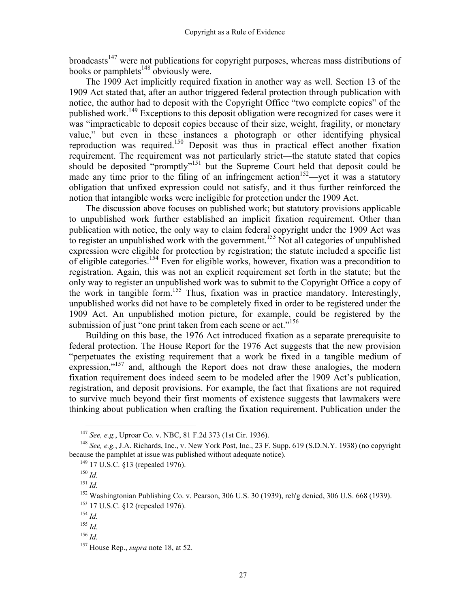broadcasts<sup>147</sup> were not publications for copyright purposes, whereas mass distributions of books or pamphlets $^{148}$  obviously were.

The 1909 Act implicitly required fixation in another way as well. Section 13 of the 1909 Act stated that, after an author triggered federal protection through publication with notice, the author had to deposit with the Copyright Office "two complete copies" of the published work.[149 E](#page-28-2)xceptions to this deposit obligation were recognized for cases were it was "impracticable to deposit copies because of their size, weight, fragility, or monetary value," but even in these instances a photograph or other identifying physical reproduction was required[.150](#page-28-3) Deposit was thus in practical effect another fixation requirement. The requirement was not particularly strict—the statute stated that copies should be deposited "promptly"<sup>151</sup> but the Supreme Court held that deposit could be made any time prior to the filing of an infringement action<sup>152</sup>—yet it was a statutory obligation that unfixed expression could not satisfy, and it thus further reinforced the notion that intangible works were ineligible for protection under the 1909 Act.

The discussion above focuses on published work; but statutory provisions applicable to unpublished work further established an implicit fixation requirement. Other than publication with notice, the only way to claim federal copyright under the 1909 Act was to register an unpublished work with the government.<sup>153</sup> Not all categories of unpublished expression were eligible for protection by registration; the statute included a specific list of eligible categories.[154 E](#page-28-7)ven for eligible works, however, fixation was a precondition to registration. Again, this was not an explicit requirement set forth in the statute; but the only way to register an unpublished work was to submit to the Copyright Office a copy of the work in tangible form. [155](#page-28-8) Thus, fixation was in practice mandatory. Interestingly, unpublished works did not have to be completely fixed in order to be registered under the 1909 Act. An unpublished motion picture, for example, could be registered by the submission of just "one print taken from each scene or act."<sup>156</sup>

Building on this base, the 1976 Act introduced fixation as a separate prerequisite to federal protection. The House Report for the 1976 Act suggests that the new provision "perpetuates the existing requirement that a work be fixed in a tangible medium of expression,"<sup>157</sup> and, although the Report does not draw these analogies, the modern fixation requirement does indeed seem to be modeled after the 1909 Act's publication, registration, and deposit provisions. For example, the fact that fixations are not required to survive much beyond their first moments of existence suggests that lawmakers were thinking about publication when crafting the fixation requirement. Publication under the

<span id="page-28-1"></span><span id="page-28-0"></span>

<sup>147</sup> *See, e.g.*, Uproar Co. v. NBC, 81 F.2d 373 (1st Cir. 1936). 148 *See, e.g.*, J.A. Richards, Inc., v. New York Post, Inc., 23 F. Supp. 619 (S.D.N.Y. 1938) (no copyright because the pamphlet at issue was published without adequate notice). 149 17 U.S.C. §13 (repealed 1976). 150 *Id.*

<span id="page-28-2"></span>

<span id="page-28-3"></span>

<span id="page-28-4"></span><sup>151</sup> *Id.*

<span id="page-28-5"></span><sup>152</sup> Washingtonian Publishing Co. v. Pearson, 306 U.S. 30 (1939), reh'g denied, 306 U.S. 668 (1939). 153 17 U.S.C. §12 (repealed 1976). 154 *Id.*

<span id="page-28-6"></span>

<span id="page-28-7"></span>

<span id="page-28-8"></span><sup>155</sup> *Id.*

<span id="page-28-9"></span><sup>156</sup> *Id.*

<span id="page-28-10"></span><sup>157</sup> House Rep., *supra* note 18, at 52.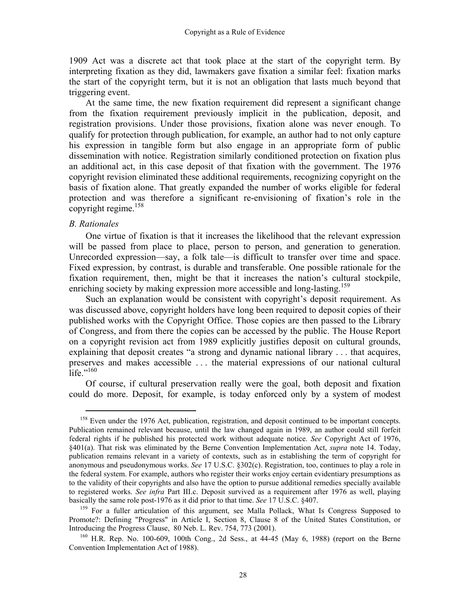1909 Act was a discrete act that took place at the start of the copyright term. By interpreting fixation as they did, lawmakers gave fixation a similar feel: fixation marks the start of the copyright term, but it is not an obligation that lasts much beyond that triggering event.

At the same time, the new fixation requirement did represent a significant change from the fixation requirement previously implicit in the publication, deposit, and registration provisions. Under those provisions, fixation alone was never enough. To qualify for protection through publication, for example, an author had to not only capture his expression in tangible form but also engage in an appropriate form of public dissemination with notice. Registration similarly conditioned protection on fixation plus an additional act, in this case deposit of that fixation with the government. The 1976 copyright revision eliminated these additional requirements, recognizing copyright on the basis of fixation alone. That greatly expanded the number of works eligible for federal protection and was therefore a significant re-envisioning of fixation's role in the copyright regime.<sup>158</sup>

#### *B. Rationales*

<span id="page-29-0"></span> $\overline{a}$ 

One virtue of fixation is that it increases the likelihood that the relevant expression will be passed from place to place, person to person, and generation to generation. Unrecorded expression—say, a folk tale—is difficult to transfer over time and space. Fixed expression, by contrast, is durable and transferable. One possible rationale for the fixation requirement, then, might be that it increases the nation's cultural stockpile, enriching society by making expression more accessible and long-lasting.<sup>159</sup>

Such an explanation would be consistent with copyright's deposit requirement. As was discussed above, copyright holders have long been required to deposit copies of their published works with the Copyright Office. Those copies are then passed to the Library of Congress, and from there the copies can be accessed by the public. The House Report on a copyright revision act from 1989 explicitly justifies deposit on cultural grounds, explaining that deposit creates "a strong and dynamic national library . . . that acquires, preserves and makes accessible . . . the material expressions of our national cultural  $\text{life}$ ."<sup>160</sup>

Of course, if cultural preservation really were the goal, both deposit and fixation could do more. Deposit, for example, is today enforced only by a system of modest

<sup>&</sup>lt;sup>158</sup> Even under the 1976 Act, publication, registration, and deposit continued to be important concepts. Publication remained relevant because, until the law changed again in 1989, an author could still forfeit federal rights if he published his protected work without adequate notice. *See* Copyright Act of 1976, §401(a). That risk was eliminated by the Berne Convention Implementation Act, *supra* note 14. Today, publication remains relevant in a variety of contexts, such as in establishing the term of copyright for anonymous and pseudonymous works. *See* 17 U.S.C. §302(c). Registration, too, continues to play a role in the federal system. For example, authors who register their works enjoy certain evidentiary presumptions as to the validity of their copyrights and also have the option to pursue additional remedies specially available to registered works. *See infra* Part III.c. Deposit survived as a requirement after 1976 as well, playing basically the same role post-1976 as it did prior to that time. *See* 17 U.S.C. §407.<br><sup>159</sup> For a fuller articulation of this argument, see Malla Pollack, What Is Congress Supposed to

<span id="page-29-1"></span>Promote?: Defining "Progress" in Article I, Section 8, Clause 8 of the United States Constitution, or Introducing the Progress Clause, 80 Neb. L. Rev. 754, 773 (2001).

<span id="page-29-2"></span> $160$  H.R. Rep. No. 100-609, 100th Cong., 2d Sess., at 44-45 (May 6, 1988) (report on the Berne Convention Implementation Act of 1988).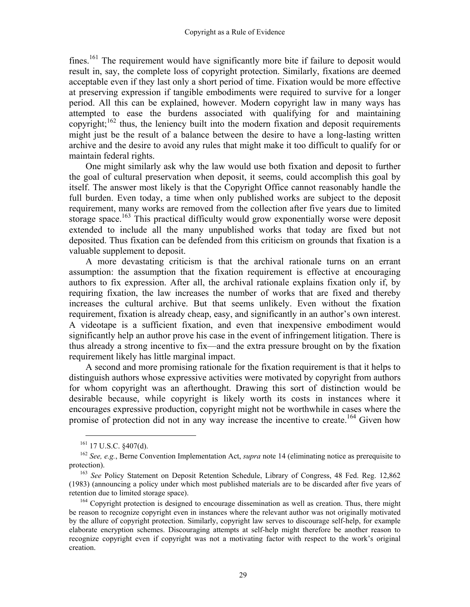fines.<sup>161</sup> The requirement would have significantly more bite if failure to deposit would result in, say, the complete loss of copyright protection. Similarly, fixations are deemed acceptable even if they last only a short period of time. Fixation would be more effective at preserving expression if tangible embodiments were required to survive for a longer period. All this can be explained, however. Modern copyright law in many ways has attempted to ease the burdens associated with qualifying for and maintaining copyright;  $162$  thus, the leniency built into the modern fixation and deposit requirements might just be the result of a balance between the desire to have a long-lasting written archive and the desire to avoid any rules that might make it too difficult to qualify for or maintain federal rights.

One might similarly ask why the law would use both fixation and deposit to further the goal of cultural preservation when deposit, it seems, could accomplish this goal by itself. The answer most likely is that the Copyright Office cannot reasonably handle the full burden. Even today, a time when only published works are subject to the deposit requirement, many works are removed from the collection after five years due to limited storage space.<sup>163</sup> This practical difficulty would grow exponentially worse were deposit extended to include all the many unpublished works that today are fixed but not deposited. Thus fixation can be defended from this criticism on grounds that fixation is a valuable supplement to deposit.

A more devastating criticism is that the archival rationale turns on an errant assumption: the assumption that the fixation requirement is effective at encouraging authors to fix expression. After all, the archival rationale explains fixation only if, by requiring fixation, the law increases the number of works that are fixed and thereby increases the cultural archive. But that seems unlikely. Even without the fixation requirement, fixation is already cheap, easy, and significantly in an author's own interest. A videotape is a sufficient fixation, and even that inexpensive embodiment would significantly help an author prove his case in the event of infringement litigation. There is thus already a strong incentive to fix—and the extra pressure brought on by the fixation requirement likely has little marginal impact.

A second and more promising rationale for the fixation requirement is that it helps to distinguish authors whose expressive activities were motivated by copyright from authors for whom copyright was an afterthought. Drawing this sort of distinction would be desirable because, while copyright is likely worth its costs in instances where it encourages expressive production, copyright might not be worthwhile in cases where the promise of protection did not in any way increase the incentive to create.<sup>164</sup> Given how

<span id="page-30-1"></span><span id="page-30-0"></span>

<sup>&</sup>lt;sup>161</sup> 17 U.S.C. §407(d).<br><sup>162</sup> *See, e.g.*, Berne Convention Implementation Act, *supra* note 14 (eliminating notice as prerequisite to protection). 163 *See* Policy Statement on Deposit Retention Schedule, Library of Congress, 48 Fed. Reg. 12,862

<span id="page-30-2"></span><sup>(1983) (</sup>announcing a policy under which most published materials are to be discarded after five years of

<span id="page-30-3"></span> $164$  Copyright protection is designed to encourage dissemination as well as creation. Thus, there might be reason to recognize copyright even in instances where the relevant author was not originally motivated by the allure of copyright protection. Similarly, copyright law serves to discourage self-help, for example elaborate encryption schemes. Discouraging attempts at self-help might therefore be another reason to recognize copyright even if copyright was not a motivating factor with respect to the work's original creation.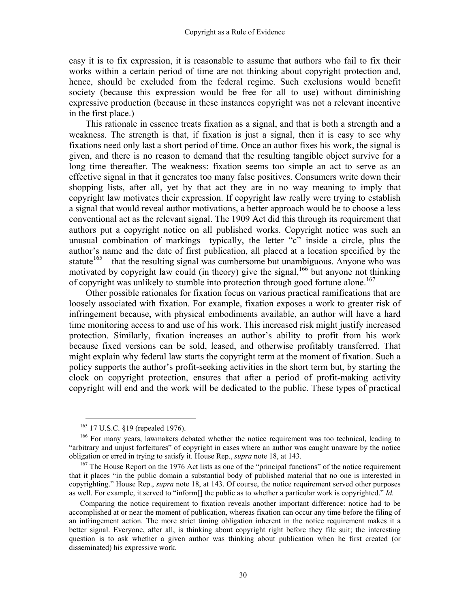easy it is to fix expression, it is reasonable to assume that authors who fail to fix their works within a certain period of time are not thinking about copyright protection and, hence, should be excluded from the federal regime. Such exclusions would benefit society (because this expression would be free for all to use) without diminishing expressive production (because in these instances copyright was not a relevant incentive in the first place.)

This rationale in essence treats fixation as a signal, and that is both a strength and a weakness. The strength is that, if fixation is just a signal, then it is easy to see why fixations need only last a short period of time. Once an author fixes his work, the signal is given, and there is no reason to demand that the resulting tangible object survive for a long time thereafter. The weakness: fixation seems too simple an act to serve as an effective signal in that it generates too many false positives. Consumers write down their shopping lists, after all, yet by that act they are in no way meaning to imply that copyright law motivates their expression. If copyright law really were trying to establish a signal that would reveal author motivations, a better approach would be to choose a less conventional act as the relevant signal. The 1909 Act did this through its requirement that authors put a copyright notice on all published works. Copyright notice was such an unusual combination of markings—typically, the letter "c" inside a circle, plus the author's name and the date of first publication, all placed at a location specified by the statute<sup>165</sup>—that the resulting signal was cumbersome but unambiguous. Anyone who was motivated by copyright law could (in theory) give the signal,  $166$  but anyone not thinking of copyright was unlikely to stumble into protection through good fortune alone.<sup>167</sup>

Other possible rationales for fixation focus on various practical ramifications that are loosely associated with fixation. For example, fixation exposes a work to greater risk of infringement because, with physical embodiments available, an author will have a hard time monitoring access to and use of his work. This increased risk might justify increased protection. Similarly, fixation increases an author's ability to profit from his work because fixed versions can be sold, leased, and otherwise profitably transferred. That might explain why federal law starts the copyright term at the moment of fixation. Such a policy supports the author's profit-seeking activities in the short term but, by starting the clock on copyright protection, ensures that after a period of profit-making activity copyright will end and the work will be dedicated to the public. These types of practical

<span id="page-31-1"></span><span id="page-31-0"></span><sup>&</sup>lt;sup>165</sup> 17 U.S.C. §19 (repealed 1976).

<sup>&</sup>lt;sup>166</sup> For many years, lawmakers debated whether the notice requirement was too technical, leading to "arbitrary and unjust forfeitures" of copyright in cases where an author was caught unaware by the notice obligation or erred in trying to satisfy it. House Rep., *supra* note 18, at 143.

<span id="page-31-2"></span><sup>&</sup>lt;sup>167</sup> The House Report on the 1976 Act lists as one of the "principal functions" of the notice requirement that it places "in the public domain a substantial body of published material that no one is interested in copyrighting." House Rep., *supra* note 18, at 143. Of course, the notice requirement served other purposes as well. For example, it served to "inform[] the public as to whether a particular work is copyrighted." *Id.*

Comparing the notice requirement to fixation reveals another important difference: notice had to be accomplished at or near the moment of publication, whereas fixation can occur any time before the filing of an infringement action. The more strict timing obligation inherent in the notice requirement makes it a better signal. Everyone, after all, is thinking about copyright right before they file suit; the interesting question is to ask whether a given author was thinking about publication when he first created (or disseminated) his expressive work.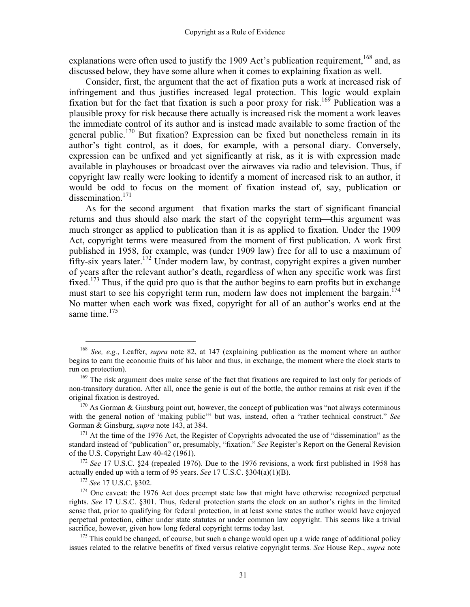<span id="page-32-7"></span>explanations were often used to justify the 1909 Act's publication requirement,  $168$  and, as discussed below, they have some allure when it comes to explaining fixation as well.

Consider, first, the argument that the act of fixation puts a work at increased risk of infringement and thus justifies increased legal protection. This logic would explain fixation but for the fact that fixation is such a poor proxy for risk.<sup>169</sup> Publication was a plausible proxy for risk because there actually is increased risk the moment a work leaves the immediate control of its author and is instead made available to some fraction of the general public.<sup>170</sup> But fixation? Expression can be fixed but nonetheless remain in its author's tight control, as it does, for example, with a personal diary. Conversely, expression can be unfixed and yet significantly at risk, as it is with expression made available in playhouses or broadcast over the airwaves via radio and television. Thus, if copyright law really were looking to identify a moment of increased risk to an author, it would be odd to focus on the moment of fixation instead of, say, publication or dissemination. $171$ 

As for the second argument—that fixation marks the start of significant financial returns and thus should also mark the start of the copyright term—this argument was much stronger as applied to publication than it is as applied to fixation. Under the 1909 Act, copyright terms were measured from the moment of first publication. A work first published in 1958, for example, was (under 1909 law) free for all to use a maximum of fifty-six years later.<sup>172</sup> Under modern law, by contrast, copyright expires a given number of years after the relevant author's death, regardless of when any specific work was first fixed.<sup>173</sup> Thus, if the quid pro quo is that the author begins to earn profits but in exchange must start to see his copyright term run, modern law does not implement the bargain.<sup> $174$ </sup> No matter when each work was fixed, copyright for all of an author's works end at the same time. $175$ 

<span id="page-32-0"></span><sup>168</sup> *See, e.g.*, Leaffer, *supra* note 82, at 147 (explaining publication as the moment where an author begins to earn the economic fruits of his labor and thus, in exchange, the moment where the clock starts to run on protection). 169 The risk argument does make sense of the fact that fixations are required to last only for periods of

<span id="page-32-1"></span>non-transitory duration. After all, once the genie is out of the bottle, the author remains at risk even if the original fixation is destroyed.<br><sup>170</sup> As Gorman & Ginsburg point out, however, the concept of publication was "not always coterminous"

<span id="page-32-2"></span>with the general notion of 'making public'" but was, instead, often a "rather technical construct." *See* Gorman & Ginsburg, *supra* note 143, at 384.

<span id="page-32-3"></span><sup>&</sup>lt;sup>171</sup> At the time of the 1976 Act, the Register of Copyrights advocated the use of "dissemination" as the standard instead of "publication" or, presumably, "fixation." *See* Register's Report on the General Revision of the U.S. Copyright Law 40-42 (1961).

<span id="page-32-4"></span><sup>&</sup>lt;sup>172</sup> *See* 17 U.S.C. §24 (repealed 1976). Due to the 1976 revisions, a work first published in 1958 has actually ended up with a term of 95 years. *See* 17 U.S.C. §304(a)(1)(B).

<span id="page-32-6"></span><span id="page-32-5"></span>

<sup>&</sup>lt;sup>173</sup> See 17 U.S.C. §302.<br><sup>174</sup> One caveat: the 1976 Act does preempt state law that might have otherwise recognized perpetual rights. *See* 17 U.S.C. §301. Thus, federal protection starts the clock on an author's rights in the limited sense that, prior to qualifying for federal protection, in at least some states the author would have enjoyed perpetual protection, either under state statutes or under common law copyright. This seems like a trivial sacrifice, however, given how long federal copyright terms today last.<br><sup>175</sup> This could be changed, of course, but such a change would open up a wide range of additional policy

issues related to the relative benefits of fixed versus relative copyright terms. *See* House Rep., *supra* note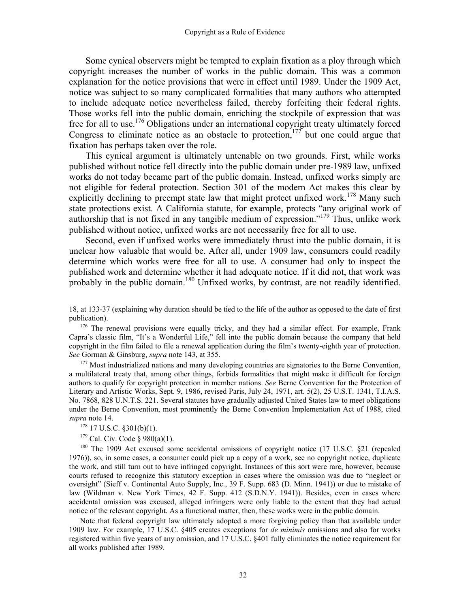Some cynical observers might be tempted to explain fixation as a ploy through which copyright increases the number of works in the public domain. This was a common explanation for the notice provisions that were in effect until 1989. Under the 1909 Act, notice was subject to so many complicated formalities that many authors who attempted to include adequate notice nevertheless failed, thereby forfeiting their federal rights. Those works fell into the public domain, enriching the stockpile of expression that was free for all to use.<sup>176</sup> Obligations under an international copyright treaty ultimately forced Congress to eliminate notice as an obstacle to protection,<sup>177</sup> but one could argue that fixation has perhaps taken over the role.

This cynical argument is ultimately untenable on two grounds. First, while works published without notice fell directly into the public domain under pre-1989 law, unfixed works do not today became part of the public domain. Instead, unfixed works simply are not eligible for federal protection. Section 301 of the modern Act makes this clear by explicitly declining to preempt state law that might protect unfixed work.<sup>178</sup> Many such state protections exist. A California statute, for example, protects "any original work of authorship that is not fixed in any tangible medium of expression."[179](#page-33-3) Thus, unlike work published without notice, unfixed works are not necessarily free for all to use.

Second, even if unfixed works were immediately thrust into the public domain, it is unclear how valuable that would be. After all, under 1909 law, consumers could readily determine which works were free for all to use. A consumer had only to inspect the published work and determine whether it had adequate notice. If it did not, that work was probably in the public domain.<sup>180</sup> Unfixed works, by contrast, are not readily identified.

18, at 133-37 (explaining why duration should be tied to the life of the author as opposed to the date of first

<span id="page-33-0"></span>publication).<br><sup>176</sup> The renewal provisions were equally tricky, and they had a similar effect. For example, Frank Capra's classic film, "It's a Wonderful Life," fell into the public domain because the company that held copyright in the film failed to file a renewal application during the film's twenty-eighth year of protection. *See* Gorman & Ginsburg, *supra* note 143, at 355.<br><sup>177</sup> Most industrialized nations and many developing countries are signatories to the Berne Convention,

<span id="page-33-1"></span>a multilateral treaty that, among other things, forbids formalities that might make it difficult for foreign authors to qualify for copyright protection in member nations. *See* Berne Convention for the Protection of Literary and Artistic Works, Sept. 9, 1986, revised Paris, July 24, 1971, art. 5(2), 25 U.S.T. 1341, T.I.A.S. No. 7868, 828 U.N.T.S. 221. Several statutes have gradually adjusted United States law to meet obligations under the Berne Convention, most prominently the Berne Convention Implementation Act of 1988, cited *supra* note 14.  $^{178}$  17 U.S.C. §301(b)(1).  $^{179}$  Cal. Civ. Code § 980(a)(1).  $^{179}$  Cal. Civ. Code § 980(a)(1).  $^{180}$  The 1909 Act excused some accidental omissions of copyright notice (17 U.S.C. §21 (repealed

<span id="page-33-2"></span>

<span id="page-33-4"></span><span id="page-33-3"></span>

1976)), so, in some cases, a consumer could pick up a copy of a work, see no copyright notice, duplicate the work, and still turn out to have infringed copyright. Instances of this sort were rare, however, because courts refused to recognize this statutory exception in cases where the omission was due to "neglect or oversight" (Sieff v. Continental Auto Supply, Inc., 39 F. Supp. 683 (D. Minn. 1941)) or due to mistake of law (Wildman v. New York Times, 42 F. Supp. 412 (S.D.N.Y. 1941)). Besides, even in cases where accidental omission was excused, alleged infringers were only liable to the extent that they had actual notice of the relevant copyright. As a functional matter, then, these works were in the public domain.

Note that federal copyright law ultimately adopted a more forgiving policy than that available under 1909 law. For example, 17 U.S.C. §405 creates exceptions for *de minimis* omissions and also for works registered within five years of any omission, and 17 U.S.C. §401 fully eliminates the notice requirement for all works published after 1989.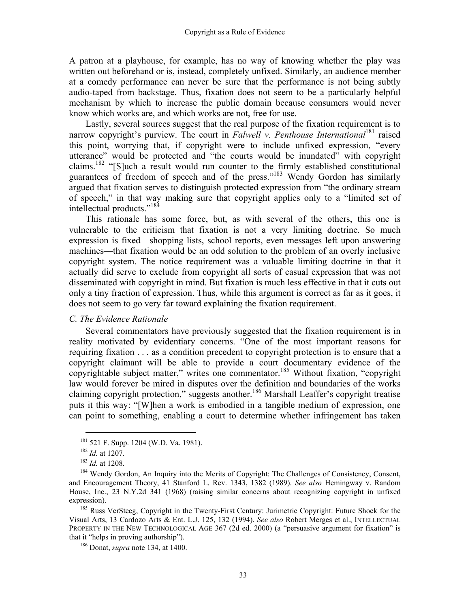A patron at a playhouse, for example, has no way of knowing whether the play was written out beforehand or is, instead, completely unfixed. Similarly, an audience member at a comedy performance can never be sure that the performance is not being subtly audio-taped from backstage. Thus, fixation does not seem to be a particularly helpful mechanism by which to increase the public domain because consumers would never know which works are, and which works are not, free for use.

Lastly, several sources suggest that the real purpose of the fixation requirement is to narrow copyright's purview. The court in *Falwell v. Penthouse International*<sup>181</sup> raised this point, worrying that, if copyright were to include unfixed expression, "every utterance" would be protected and "the courts would be inundated" with copyright claims.<sup>182</sup> "[S]uch a result would run counter to the firmly established constitutional guarantees of freedom of speech and of the press.["183](#page-34-2) Wendy Gordon has similarly argued that fixation serves to distinguish protected expression from "the ordinary stream of speech," in that way making sure that copyright applies only to a "limited set of intellectual products."<sup>184</sup>

This rationale has some force, but, as with several of the others, this one is vulnerable to the criticism that fixation is not a very limiting doctrine. So much expression is fixed—shopping lists, school reports, even messages left upon answering machines—that fixation would be an odd solution to the problem of an overly inclusive copyright system. The notice requirement was a valuable limiting doctrine in that it actually did serve to exclude from copyright all sorts of casual expression that was not disseminated with copyright in mind. But fixation is much less effective in that it cuts out only a tiny fraction of expression. Thus, while this argument is correct as far as it goes, it does not seem to go very far toward explaining the fixation requirement.

*C. The Evidence Rationale* 

Several commentators have previously suggested that the fixation requirement is in reality motivated by evidentiary concerns. "One of the most important reasons for requiring fixation . . . as a condition precedent to copyright protection is to ensure that a copyright claimant will be able to provide a court documentary evidence of the copyrightable subject matter," writes one commentator.<sup>185</sup> Without fixation, "copyright" law would forever be mired in disputes over the definition and boundaries of the works claiming copyright protection," suggests another.<sup>186</sup> Marshall Leaffer's copyright treatise puts it this way: "[W]hen a work is embodied in a tangible medium of expression, one can point to something, enabling a court to determine whether infringement has taken

<span id="page-34-0"></span>

<span id="page-34-1"></span>

<span id="page-34-3"></span><span id="page-34-2"></span>

<sup>&</sup>lt;sup>181</sup> 521 F. Supp. 1204 (W.D. Va. 1981).<br><sup>182</sup> *Id.* at 1207.<br><sup>183</sup> *Id.* at 1208.<br><sup>184</sup> Wendy Gordon, An Inquiry into the Merits of Copyright: The Challenges of Consistency, Consent, and Encouragement Theory, 41 Stanford L. Rev. 1343, 1382 (1989). *See also* Hemingway v. Random House, Inc., 23 N.Y.2d 341 (1968) (raising similar concerns about recognizing copyright in unfixed

<span id="page-34-4"></span>expression).<br><sup>185</sup> Russ VerSteeg, Copyright in the Twenty-First Century: Jurimetric Copyright: Future Shock for the Visual Arts, 13 Cardozo Arts & Ent. L.J. 125, 132 (1994). *See also* Robert Merges et al., INTELLECTUAL PROPERTY IN THE NEW TECHNOLOGICAL AGE 367 (2d ed. 2000) (a "persuasive argument for fixation" is that it "helps in proving authorship"). 186 Donat, *supra* note 134, at 1400.

<span id="page-34-5"></span>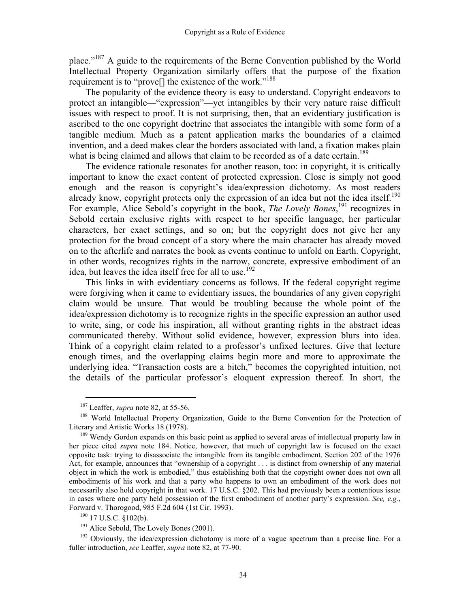place."[187](#page-35-0) A guide to the requirements of the Berne Convention published by the World Intellectual Property Organization similarly offers that the purpose of the fixation requirement is to "prove[] the existence of the work."<sup>188</sup>

The popularity of the evidence theory is easy to understand. Copyright endeavors to protect an intangible—"expression"—yet intangibles by their very nature raise difficult issues with respect to proof. It is not surprising, then, that an evidentiary justification is ascribed to the one copyright doctrine that associates the intangible with some form of a tangible medium. Much as a patent application marks the boundaries of a claimed invention, and a deed makes clear the borders associated with land, a fixation makes plain what is being claimed and allows that claim to be recorded as of a date certain.<sup>189</sup>

The evidence rationale resonates for another reason, too: in copyright, it is critically important to know the exact content of protected expression. Close is simply not good enough—and the reason is copyright's idea/expression dichotomy. As most readers already know, copyright protects only the expression of an idea but not the idea itself.<sup>[190](#page-35-3)</sup> For example, Alice Sebold's copyright in the book, *The Lovely Bones*, [191 r](#page-35-4)ecognizes in Sebold certain exclusive rights with respect to her specific language, her particular characters, her exact settings, and so on; but the copyright does not give her any protection for the broad concept of a story where the main character has already moved on to the afterlife and narrates the book as events continue to unfold on Earth. Copyright, in other words, recognizes rights in the narrow, concrete, expressive embodiment of an idea, but leaves the idea itself free for all to use.<sup>192</sup>

This links in with evidentiary concerns as follows. If the federal copyright regime were forgiving when it came to evidentiary issues, the boundaries of any given copyright claim would be unsure. That would be troubling because the whole point of the idea/expression dichotomy is to recognize rights in the specific expression an author used to write, sing, or code his inspiration, all without granting rights in the abstract ideas communicated thereby. Without solid evidence, however, expression blurs into idea. Think of a copyright claim related to a professor's unfixed lectures. Give that lecture enough times, and the overlapping claims begin more and more to approximate the underlying idea. "Transaction costs are a bitch," becomes the copyrighted intuition, not the details of the particular professor's eloquent expression thereof. In short, the

 $\overline{a}$ 

<span id="page-35-3"></span>

fuller introduction, *see* Leaffer, *supra* note 82, at 77-90.

<span id="page-35-1"></span><span id="page-35-0"></span>

<sup>&</sup>lt;sup>187</sup> Leaffer, *supra* note 82, at 55-56.<br><sup>188</sup> World Intellectual Property Organization, Guide to the Berne Convention for the Protection of Literary and Artistic Works 18 (1978).

<span id="page-35-2"></span><sup>&</sup>lt;sup>189</sup> Wendy Gordon expands on this basic point as applied to several areas of intellectual property law in her piece cited *supra* note 184. Notice, however, that much of copyright law is focused on the exact opposite task: trying to disassociate the intangible from its tangible embodiment. Section 202 of the 1976 Act, for example, announces that "ownership of a copyright . . . is distinct from ownership of any material object in which the work is embodied," thus establishing both that the copyright owner does not own all embodiments of his work and that a party who happens to own an embodiment of the work does not necessarily also hold copyright in that work. 17 U.S.C. §202. This had previously been a contentious issue in cases where one party held possession of the first embodiment of another party's expression. *See, e.g.*, Forward v. Thorogood, 985 F.2d 604 (1st Cir. 1993). <sup>190</sup> 17 U.S.C. §102(b). <sup>191</sup> Alice Sebold, The Lovely Bones (2001). <sup>192</sup> Obviously, the idea/expression dichotomy is more of a vague spectrum than a precise line. For

<span id="page-35-5"></span><span id="page-35-4"></span>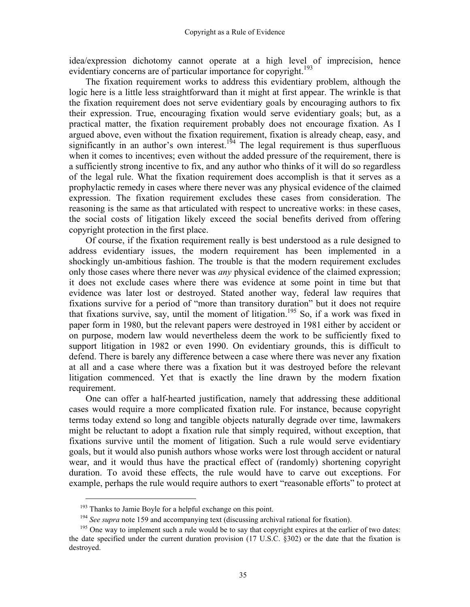idea/expression dichotomy cannot operate at a high level of imprecision, hence evidentiary concerns are of particular importance for copyright.<sup>193</sup>

The fixation requirement works to address this evidentiary problem, although the logic here is a little less straightforward than it might at first appear. The wrinkle is that the fixation requirement does not serve evidentiary goals by encouraging authors to fix their expression. True, encouraging fixation would serve evidentiary goals; but, as a practical matter, the fixation requirement probably does not encourage fixation. As I argued above, even without the fixation requirement, fixation is already cheap, easy, and significantly in an author's own interest.<sup>194</sup> The legal requirement is thus superfluous when it comes to incentives; even without the added pressure of the requirement, there is a sufficiently strong incentive to fix, and any author who thinks of it will do so regardless of the legal rule. What the fixation requirement does accomplish is that it serves as a prophylactic remedy in cases where there never was any physical evidence of the claimed expression. The fixation requirement excludes these cases from consideration. The reasoning is the same as that articulated with respect to uncreative works: in these cases, the social costs of litigation likely exceed the social benefits derived from offering copyright protection in the first place.

Of course, if the fixation requirement really is best understood as a rule designed to address evidentiary issues, the modern requirement has been implemented in a shockingly un-ambitious fashion. The trouble is that the modern requirement excludes only those cases where there never was *any* physical evidence of the claimed expression; it does not exclude cases where there was evidence at some point in time but that evidence was later lost or destroyed. Stated another way, federal law requires that fixations survive for a period of "more than transitory duration" but it does not require that fixations survive, say, until the moment of litigation.<sup>195</sup> So, if a work was fixed in paper form in 1980, but the relevant papers were destroyed in 1981 either by accident or on purpose, modern law would nevertheless deem the work to be sufficiently fixed to support litigation in 1982 or even 1990. On evidentiary grounds, this is difficult to defend. There is barely any difference between a case where there was never any fixation at all and a case where there was a fixation but it was destroyed before the relevant litigation commenced. Yet that is exactly the line drawn by the modern fixation requirement.

One can offer a half-hearted justification, namely that addressing these additional cases would require a more complicated fixation rule. For instance, because copyright terms today extend so long and tangible objects naturally degrade over time, lawmakers might be reluctant to adopt a fixation rule that simply required, without exception, that fixations survive until the moment of litigation. Such a rule would serve evidentiary goals, but it would also punish authors whose works were lost through accident or natural wear, and it would thus have the practical effect of (randomly) shortening copyright duration. To avoid these effects, the rule would have to carve out exceptions. For example, perhaps the rule would require authors to exert "reasonable efforts" to protect at

<span id="page-36-0"></span><sup>&</sup>lt;sup>193</sup> Thanks to Jamie Boyle for a helpful exchange on this point.

<span id="page-36-2"></span><span id="page-36-1"></span>

<sup>&</sup>lt;sup>194</sup> *See supra* note 159 and accompanying text (discussing archival rational for fixation).<br><sup>195</sup> One way to implement such a rule would be to say that copyright expires at the earlier of two dates: the date specified under the current duration provision (17 U.S.C. §302) or the date that the fixation is destroyed.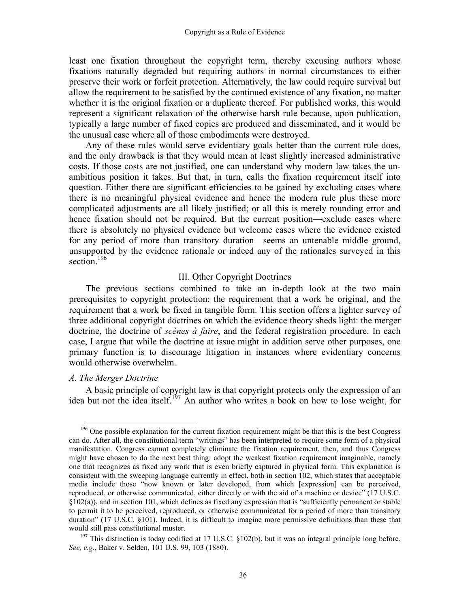least one fixation throughout the copyright term, thereby excusing authors whose fixations naturally degraded but requiring authors in normal circumstances to either preserve their work or forfeit protection. Alternatively, the law could require survival but allow the requirement to be satisfied by the continued existence of any fixation, no matter whether it is the original fixation or a duplicate thereof. For published works, this would represent a significant relaxation of the otherwise harsh rule because, upon publication, typically a large number of fixed copies are produced and disseminated, and it would be the unusual case where all of those embodiments were destroyed.

Any of these rules would serve evidentiary goals better than the current rule does, and the only drawback is that they would mean at least slightly increased administrative costs. If those costs are not justified, one can understand why modern law takes the unambitious position it takes. But that, in turn, calls the fixation requirement itself into question. Either there are significant efficiencies to be gained by excluding cases where there is no meaningful physical evidence and hence the modern rule plus these more complicated adjustments are all likely justified; or all this is merely rounding error and hence fixation should not be required. But the current position—exclude cases where there is absolutely no physical evidence but welcome cases where the evidence existed for any period of more than transitory duration—seems an untenable middle ground, unsupported by the evidence rationale or indeed any of the rationales surveyed in this section  $196$ 

#### III. Other Copyright Doctrines

The previous sections combined to take an in-depth look at the two main prerequisites to copyright protection: the requirement that a work be original, and the requirement that a work be fixed in tangible form. This section offers a lighter survey of three additional copyright doctrines on which the evidence theory sheds light: the merger doctrine, the doctrine of *scènes à faire*, and the federal registration procedure. In each case, I argue that while the doctrine at issue might in addition serve other purposes, one primary function is to discourage litigation in instances where evidentiary concerns would otherwise overwhelm.

#### *A. The Merger Doctrine*

<span id="page-37-0"></span> $\overline{a}$ 

A basic principle of copyright law is that copyright protects only the expression of an idea but not the idea itself.[197](#page-37-1) An author who writes a book on how to lose weight, for

<sup>&</sup>lt;sup>196</sup> One possible explanation for the current fixation requirement might be that this is the best Congress can do. After all, the constitutional term "writings" has been interpreted to require some form of a physical manifestation. Congress cannot completely eliminate the fixation requirement, then, and thus Congress might have chosen to do the next best thing: adopt the weakest fixation requirement imaginable, namely one that recognizes as fixed any work that is even briefly captured in physical form. This explanation is consistent with the sweeping language currently in effect, both in section 102, which states that acceptable media include those "now known or later developed, from which [expression] can be perceived, reproduced, or otherwise communicated, either directly or with the aid of a machine or device" (17 U.S.C. §102(a)), and in section 101, which defines as fixed any expression that is "sufficiently permanent or stable to permit it to be perceived, reproduced, or otherwise communicated for a period of more than transitory duration" (17 U.S.C. §101). Indeed, it is difficult to imagine more permissive definitions than these that would still pass constitutional muster.<br><sup>197</sup> This distinction is today codified at 17 U.S.C. §102(b), but it was an integral principle long before.

<span id="page-37-1"></span>*See, e.g.*, Baker v. Selden, 101 U.S. 99, 103 (1880).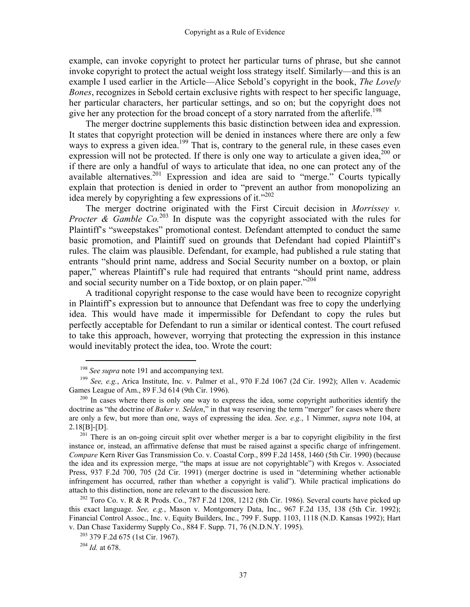example, can invoke copyright to protect her particular turns of phrase, but she cannot invoke copyright to protect the actual weight loss strategy itself. Similarly—and this is an example I used earlier in the Article—Alice Sebold's copyright in the book, *The Lovely Bones*, recognizes in Sebold certain exclusive rights with respect to her specific language, her particular characters, her particular settings, and so on; but the copyright does not give her any protection for the broad concept of a story narrated from the afterlife.<sup>198</sup>

The merger doctrine supplements this basic distinction between idea and expression. It states that copyright protection will be denied in instances where there are only a few ways to express a given idea.<sup>199</sup> That is, contrary to the general rule, in these cases even expression will not be protected. If there is only one way to articulate a given idea,  $200$  or if there are only a handful of ways to articulate that idea, no one can protect any of the available alternatives.<sup>201</sup> Expression and idea are said to "merge." Courts typically explain that protection is denied in order to "prevent an author from monopolizing an idea merely by copyrighting a few expressions of it.["202](#page-38-4) 

The merger doctrine originated with the First Circuit decision in *Morrissey v. Procter & Gamble Co.*<sup>203</sup> In dispute was the copyright associated with the rules for Plaintiff's "sweepstakes" promotional contest. Defendant attempted to conduct the same basic promotion, and Plaintiff sued on grounds that Defendant had copied Plaintiff's rules. The claim was plausible. Defendant, for example, had published a rule stating that entrants "should print name, address and Social Security number on a boxtop, or plain paper," whereas Plaintiff's rule had required that entrants "should print name, address and social security number on a Tide boxtop, or on plain paper.<sup>"204</sup>

A traditional copyright response to the case would have been to recognize copyright in Plaintiff's expression but to announce that Defendant was free to copy the underlying idea. This would have made it impermissible for Defendant to copy the rules but perfectly acceptable for Defendant to run a similar or identical contest. The court refused to take this approach, however, worrying that protecting the expression in this instance would inevitably protect the idea, too. Wrote the court:

<span id="page-38-1"></span><span id="page-38-0"></span>

<sup>&</sup>lt;sup>198</sup> *See supra* note 191 and accompanying text.<br><sup>199</sup> *See, e.g.*, Arica Institute, Inc. v. Palmer et al., 970 F.2d 1067 (2d Cir. 1992); Allen v. Academic<br>Games League of Am., 89 F.3d 614 (9th Cir. 1996).

<span id="page-38-2"></span> $^{200}$  In cases where there is only one way to express the idea, some copyright authorities identify the doctrine as "the doctrine of *Baker v. Selden*," in that way reserving the term "merger" for cases where there are only a few, but more than one, ways of expressing the idea. *See, e.g.*, 1 Nimmer, *supra* note 104, at  $2.18[B]$ -[D].<br><sup>201</sup> There is an on-going circuit split over whether merger is a bar to copyright eligibility in the first

<span id="page-38-3"></span>instance or, instead, an affirmative defense that must be raised against a specific charge of infringement. *Compare* Kern River Gas Transmission Co. v. Coastal Corp., 899 F.2d 1458, 1460 (5th Cir. 1990) (because the idea and its expression merge, "the maps at issue are not copyrightable") with Kregos v. Associated Press, 937 F.2d 700, 705 (2d Cir. 1991) (merger doctrine is used in "determining whether actionable infringement has occurred, rather than whether a copyright is valid"). While practical implications do attach to this distinction, none are relevant to the discussion here.<br><sup>202</sup> Toro Co. v. R & R Prods. Co., 787 F.2d 1208, 1212 (8th Cir. 1986). Several courts have picked up

<span id="page-38-4"></span>this exact language. *See, e.g.*, Mason v. Montgomery Data, Inc., 967 F.2d 135, 138 (5th Cir. 1992); Financial Control Assoc., Inc. v. Equity Builders, Inc., 799 F. Supp. 1103, 1118 (N.D. Kansas 1992); Hart v. Dan Chase Taxidermy Supply Co., 884 F. Supp. 71, 76 (N.D.N.Y. 1995).<br><sup>203</sup> 379 F.2d 675 (1st Cir. 1967).<br><sup>204</sup> *Id.* at 678.

<span id="page-38-5"></span>

<span id="page-38-6"></span>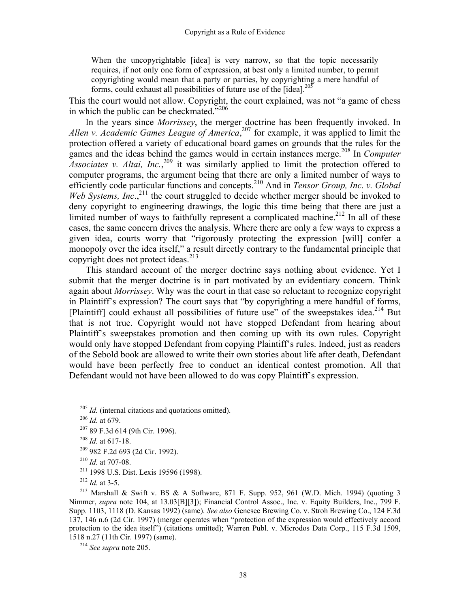When the uncopyrightable [idea] is very narrow, so that the topic necessarily requires, if not only one form of expression, at best only a limited number, to permit copyrighting would mean that a party or parties, by copyrighting a mere handful of forms, could exhaust all possibilities of future use of the [idea]. [205](#page-39-0) 

This the court would not allow. Copyright, the court explained, was not "a game of chess in which the public can be checkmated.<sup>7206</sup>

In the years since *Morrissey*, the merger doctrine has been frequently invoked. In *Allen v. Academic Games League of America*, [207 f](#page-39-2)or example, it was applied to limit the protection offered a variety of educational board games on grounds that the rules for the games and the ideas behind the games would in certain instances merge.<sup>208</sup> In *Computer* Associates v. Altai, Inc.,<sup>209</sup> it was similarly applied to limit the protection offered to computer programs, the argument being that there are only a limited number of ways to efficiently code particular functions and concepts.[210 A](#page-39-5)nd in *Tensor Group, Inc. v. Global Web Systems, Inc.*<sup>211</sup> the court struggled to decide whether merger should be invoked to deny copyright to engineering drawings, the logic this time being that there are just a limited number of ways to faithfully represent a complicated machine.<sup>212</sup> In all of these cases, the same concern drives the analysis. Where there are only a few ways to express a given idea, courts worry that "rigorously protecting the expression [will] confer a monopoly over the idea itself," a result directly contrary to the fundamental principle that copyright does not protect ideas.<sup>213</sup>

This standard account of the merger doctrine says nothing about evidence. Yet I submit that the merger doctrine is in part motivated by an evidentiary concern. Think again about *Morrissey*. Why was the court in that case so reluctant to recognize copyright in Plaintiff's expression? The court says that "by copyrighting a mere handful of forms, [Plaintiff] could exhaust all possibilities of future use" of the sweepstakes idea.<sup>214</sup> But that is not true. Copyright would not have stopped Defendant from hearing about Plaintiff's sweepstakes promotion and then coming up with its own rules. Copyright would only have stopped Defendant from copying Plaintiff's rules. Indeed, just as readers of the Sebold book are allowed to write their own stories about life after death, Defendant would have been perfectly free to conduct an identical contest promotion. All that Defendant would not have been allowed to do was copy Plaintiff's expression.

<span id="page-39-1"></span>

<span id="page-39-8"></span><span id="page-39-7"></span>

<span id="page-39-9"></span>

<span id="page-39-0"></span> $^{205}$  *Id.* (internal citations and quotations omitted).

<span id="page-39-2"></span>

<span id="page-39-3"></span>

<span id="page-39-4"></span>

<span id="page-39-5"></span>

<span id="page-39-6"></span>

<sup>&</sup>lt;sup>205</sup> *Id.* (internal citations and quotations omitted).<br><sup>206</sup> *Id.* at 679.<br><sup>207</sup> 89 F.3d 614 (9th Cir. 1996).<br><sup>209</sup> 982 F.2d 693 (2d Cir. 1992).<br><sup>210</sup> *Id.* at 707-08.<br><sup>211</sup> 1998 U.S. Dist. Lexis 19596 (1998).<br><sup>212</sup> *Id.* Nimmer, *supra* note 104, at 13.03[B][3]); Financial Control Assoc., Inc. v. Equity Builders, Inc., 799 F. Supp. 1103, 1118 (D. Kansas 1992) (same). *See also* Genesee Brewing Co. v. Stroh Brewing Co., 124 F.3d 137, 146 n.6 (2d Cir. 1997) (merger operates when "protection of the expression would effectively accord protection to the idea itself") (citations omitted); Warren Publ. v. Microdos Data Corp., 115 F.3d 1509, 1518 n.27 (11th Cir. 1997) (same). 214 *See supra* note 205.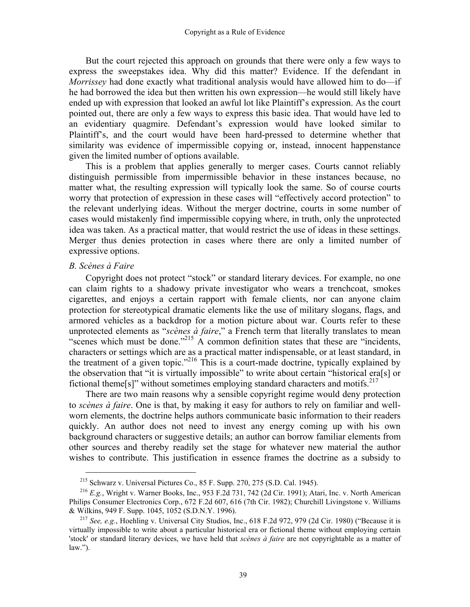But the court rejected this approach on grounds that there were only a few ways to express the sweepstakes idea. Why did this matter? Evidence. If the defendant in *Morrissey* had done exactly what traditional analysis would have allowed him to do—if he had borrowed the idea but then written his own expression—he would still likely have ended up with expression that looked an awful lot like Plaintiff's expression. As the court pointed out, there are only a few ways to express this basic idea. That would have led to an evidentiary quagmire. Defendant's expression would have looked similar to Plaintiff's, and the court would have been hard-pressed to determine whether that similarity was evidence of impermissible copying or, instead, innocent happenstance given the limited number of options available.

This is a problem that applies generally to merger cases. Courts cannot reliably distinguish permissible from impermissible behavior in these instances because, no matter what, the resulting expression will typically look the same. So of course courts worry that protection of expression in these cases will "effectively accord protection" to the relevant underlying ideas. Without the merger doctrine, courts in some number of cases would mistakenly find impermissible copying where, in truth, only the unprotected idea was taken. As a practical matter, that would restrict the use of ideas in these settings. Merger thus denies protection in cases where there are only a limited number of expressive options.

#### *B. Scènes à Faire*

 $\overline{a}$ 

Copyright does not protect "stock" or standard literary devices. For example, no one can claim rights to a shadowy private investigator who wears a trenchcoat, smokes cigarettes, and enjoys a certain rapport with female clients, nor can anyone claim protection for stereotypical dramatic elements like the use of military slogans, flags, and armored vehicles as a backdrop for a motion picture about war. Courts refer to these unprotected elements as "*scènes à faire*," a French term that literally translates to mean "scenes which must be done."<sup>215</sup> A common definition states that these are "incidents, characters or settings which are as a practical matter indispensable, or at least standard, in the treatment of a given topic."<sup>216</sup> This is a court-made doctrine, typically explained by the observation that "it is virtually impossible" to write about certain "historical era[s] or fictional theme[s]" without sometimes employing standard characters and motifs. $2^{17}$ 

There are two main reasons why a sensible copyright regime would deny protection to *scènes à faire*. One is that, by making it easy for authors to rely on familiar and wellworn elements, the doctrine helps authors communicate basic information to their readers quickly. An author does not need to invest any energy coming up with his own background characters or suggestive details; an author can borrow familiar elements from other sources and thereby readily set the stage for whatever new material the author wishes to contribute. This justification in essence frames the doctrine as a subsidy to

<span id="page-40-1"></span><span id="page-40-0"></span>

<sup>&</sup>lt;sup>215</sup> Schwarz v. Universal Pictures Co., 85 F. Supp. 270, 275 (S.D. Cal. 1945).<br><sup>216</sup> *E.g.*, Wright v. Warner Books, Inc., 953 F.2d 731, 742 (2d Cir. 1991); Atari, Inc. v. North American Philips Consumer Electronics Corp., 672 F.2d 607, 616 (7th Cir. 1982); Churchill Livingstone v. Williams & Wilkins, 949 F. Supp. 1045, 1052 (S.D.N.Y. 1996).

<span id="page-40-2"></span><sup>&</sup>lt;sup>217</sup> See, e.g., Hoehling v. Universal City Studios, Inc., 618 F.2d 972, 979 (2d Cir. 1980) ("Because it is virtually impossible to write about a particular historical era or fictional theme without employing certain 'stock' or standard literary devices, we have held that *scènes à faire* are not copyrightable as a matter of law.").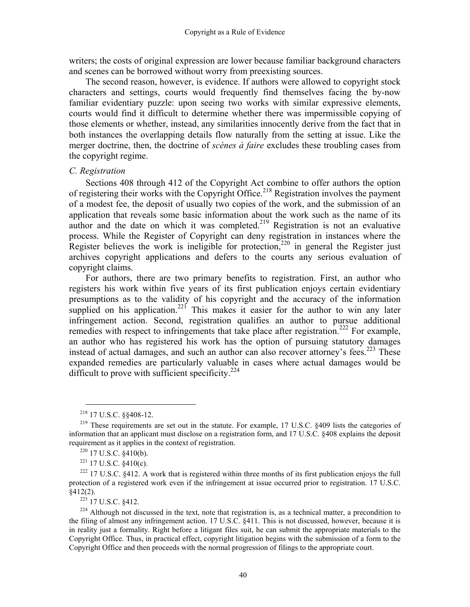writers; the costs of original expression are lower because familiar background characters and scenes can be borrowed without worry from preexisting sources.

The second reason, however, is evidence. If authors were allowed to copyright stock characters and settings, courts would frequently find themselves facing the by-now familiar evidentiary puzzle: upon seeing two works with similar expressive elements, courts would find it difficult to determine whether there was impermissible copying of those elements or whether, instead, any similarities innocently derive from the fact that in both instances the overlapping details flow naturally from the setting at issue. Like the merger doctrine, then, the doctrine of *scènes à faire* excludes these troubling cases from the copyright regime.

#### *C. Registration*

Sections 408 through 412 of the Copyright Act combine to offer authors the option of registering their works with the Copyright Office.[218 R](#page-41-0)egistration involves the payment of a modest fee, the deposit of usually two copies of the work, and the submission of an application that reveals some basic information about the work such as the name of its author and the date on which it was completed.<sup>219</sup> Registration is not an evaluative process. While the Register of Copyright can deny registration in instances where the Register believes the work is ineligible for protection,<sup>220</sup> in general the Register just archives copyright applications and defers to the courts any serious evaluation of copyright claims.

For authors, there are two primary benefits to registration. First, an author who registers his work within five years of its first publication enjoys certain evidentiary presumptions as to the validity of his copyright and the accuracy of the information supplied on his application.<sup>221</sup> This makes it easier for the author to win any later infringement action. Second, registration qualifies an author to pursue additional remedies with respect to infringements that take place after registration.<sup>222</sup> For example, an author who has registered his work has the option of pursuing statutory damages instead of actual damages, and such an author can also recover attorney's fees.<sup>223</sup> These expanded remedies are particularly valuable in cases where actual damages would be difficult to prove with sufficient specificity. $224$ 

<span id="page-41-6"></span><span id="page-41-5"></span>

<span id="page-41-1"></span><span id="page-41-0"></span>

<sup>&</sup>lt;sup>218</sup> 17 U.S.C. §§408-12.<br><sup>219</sup> These requirements are set out in the statute. For example, 17 U.S.C. §409 lists the categories of information that an applicant must disclose on a registration form, and 17 U.S.C. §408 explains the deposit requirement as it applies in the context of registration.<br><sup>220</sup> 17 U.S.C. §410(b).<br><sup>221</sup> 17 U.S.C. §412. A work that is registered within three months of its first publication enjoys the full<br><sup>222</sup> 17 U.S.C. §412. A work

<span id="page-41-2"></span>

<span id="page-41-4"></span><span id="page-41-3"></span>

protection of a registered work even if the infringement at issue occurred prior to registration. 17 U.S.C.

 $$412(2)$ .<br><sup>223</sup> 17 U.S.C. §412.<br><sup>224</sup> Although not discussed in the text, note that registration is, as a technical matter, a precondition to the filing of almost any infringement action. 17 U.S.C. §411. This is not discussed, however, because it is in reality just a formality. Right before a litigant files suit, he can submit the appropriate materials to the Copyright Office. Thus, in practical effect, copyright litigation begins with the submission of a form to the Copyright Office and then proceeds with the normal progression of filings to the appropriate court.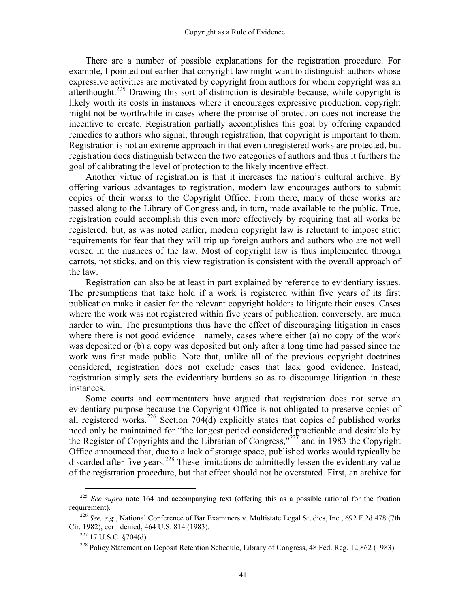There are a number of possible explanations for the registration procedure. For example, I pointed out earlier that copyright law might want to distinguish authors whose expressive activities are motivated by copyright from authors for whom copyright was an afterthought.<sup>225</sup> Drawing this sort of distinction is desirable because, while copyright is likely worth its costs in instances where it encourages expressive production, copyright might not be worthwhile in cases where the promise of protection does not increase the incentive to create. Registration partially accomplishes this goal by offering expanded remedies to authors who signal, through registration, that copyright is important to them. Registration is not an extreme approach in that even unregistered works are protected, but registration does distinguish between the two categories of authors and thus it furthers the goal of calibrating the level of protection to the likely incentive effect.

Another virtue of registration is that it increases the nation's cultural archive. By offering various advantages to registration, modern law encourages authors to submit copies of their works to the Copyright Office. From there, many of these works are passed along to the Library of Congress and, in turn, made available to the public. True, registration could accomplish this even more effectively by requiring that all works be registered; but, as was noted earlier, modern copyright law is reluctant to impose strict requirements for fear that they will trip up foreign authors and authors who are not well versed in the nuances of the law. Most of copyright law is thus implemented through carrots, not sticks, and on this view registration is consistent with the overall approach of the law.

Registration can also be at least in part explained by reference to evidentiary issues. The presumptions that take hold if a work is registered within five years of its first publication make it easier for the relevant copyright holders to litigate their cases. Cases where the work was not registered within five years of publication, conversely, are much harder to win. The presumptions thus have the effect of discouraging litigation in cases where there is not good evidence—namely, cases where either (a) no copy of the work was deposited or (b) a copy was deposited but only after a long time had passed since the work was first made public. Note that, unlike all of the previous copyright doctrines considered, registration does not exclude cases that lack good evidence. Instead, registration simply sets the evidentiary burdens so as to discourage litigation in these instances.

Some courts and commentators have argued that registration does not serve an evidentiary purpose because the Copyright Office is not obligated to preserve copies of all registered works.<sup>226</sup> Section 704(d) explicitly states that copies of published works need only be maintained for "the longest period considered practicable and desirable by the Register of Copyrights and the Librarian of Congress,"[227](#page-42-2) and in 1983 the Copyright Office announced that, due to a lack of storage space, published works would typically be discarded after five years.<sup>228</sup> These limitations do admittedly lessen the evidentiary value of the registration procedure, but that effect should not be overstated. First, an archive for

<span id="page-42-0"></span><sup>&</sup>lt;sup>225</sup> *See supra* note 164 and accompanying text (offering this as a possible rational for the fixation

requirement).<br><sup>226</sup> *See, e.g.*, National Conference of Bar Examiners v. Multistate Legal Studies, Inc., 692 F.2d 478 (7th<br>Cir. 1982), cert. denied, 464 U.S. 814 (1983).

<span id="page-42-3"></span><span id="page-42-2"></span><span id="page-42-1"></span><sup>&</sup>lt;sup>227</sup> 17 U.S.C. §704(d).<br><sup>228</sup> Policy Statement on Deposit Retention Schedule, Library of Congress, 48 Fed. Reg. 12,862 (1983).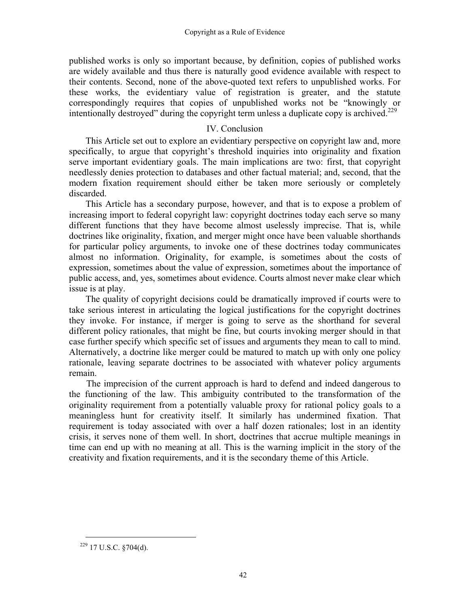published works is only so important because, by definition, copies of published works are widely available and thus there is naturally good evidence available with respect to their contents. Second, none of the above-quoted text refers to unpublished works. For these works, the evidentiary value of registration is greater, and the statute correspondingly requires that copies of unpublished works not be "knowingly or intentionally destroyed" during the copyright term unless a duplicate copy is archived.<sup>229</sup>

#### IV. Conclusion

This Article set out to explore an evidentiary perspective on copyright law and, more specifically, to argue that copyright's threshold inquiries into originality and fixation serve important evidentiary goals. The main implications are two: first, that copyright needlessly denies protection to databases and other factual material; and, second, that the modern fixation requirement should either be taken more seriously or completely discarded.

This Article has a secondary purpose, however, and that is to expose a problem of increasing import to federal copyright law: copyright doctrines today each serve so many different functions that they have become almost uselessly imprecise. That is, while doctrines like originality, fixation, and merger might once have been valuable shorthands for particular policy arguments, to invoke one of these doctrines today communicates almost no information. Originality, for example, is sometimes about the costs of expression, sometimes about the value of expression, sometimes about the importance of public access, and, yes, sometimes about evidence. Courts almost never make clear which issue is at play.

The quality of copyright decisions could be dramatically improved if courts were to take serious interest in articulating the logical justifications for the copyright doctrines they invoke. For instance, if merger is going to serve as the shorthand for several different policy rationales, that might be fine, but courts invoking merger should in that case further specify which specific set of issues and arguments they mean to call to mind. Alternatively, a doctrine like merger could be matured to match up with only one policy rationale, leaving separate doctrines to be associated with whatever policy arguments remain.

The imprecision of the current approach is hard to defend and indeed dangerous to the functioning of the law. This ambiguity contributed to the transformation of the originality requirement from a potentially valuable proxy for rational policy goals to a meaningless hunt for creativity itself. It similarly has undermined fixation. That requirement is today associated with over a half dozen rationales; lost in an identity crisis, it serves none of them well. In short, doctrines that accrue multiple meanings in time can end up with no meaning at all. This is the warning implicit in the story of the creativity and fixation requirements, and it is the secondary theme of this Article.

<span id="page-43-0"></span> $229$  17 U.S.C. §704(d).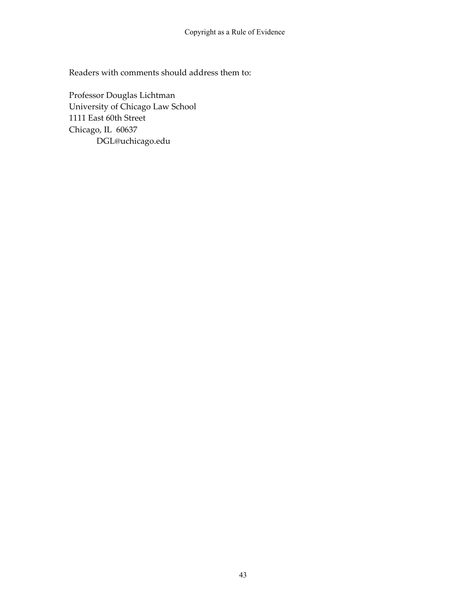Readers with comments should address them to:

Professor Douglas Lichtman University of Chicago Law School 1111 East 60th Street Chicago, IL 60637 DGL@uchicago.edu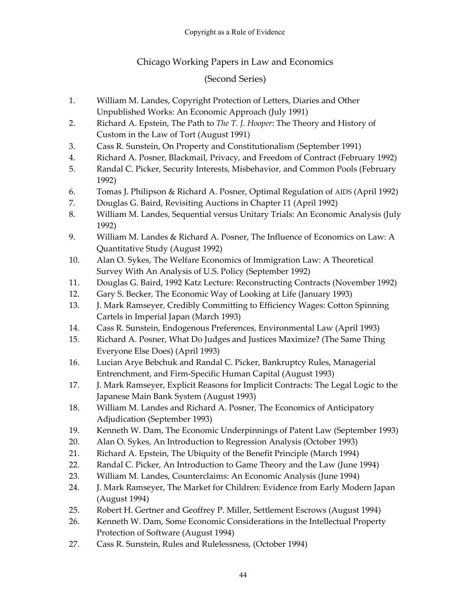# Chicago Working Papers in Law and Economics

## (Second Series)

- 1. William M. Landes, Copyright Protection of Letters, Diaries and Other Unpublished Works: An Economic Approach (July 1991)
- 2. Richard A. Epstein, The Path to *The T. J. Hooper*: The Theory and History of Custom in the Law of Tort (August 1991)
- 3. Cass R. Sunstein, On Property and Constitutionalism (September 1991)
- 4. Richard A. Posner, Blackmail, Privacy, and Freedom of Contract (February 1992)
- 5. Randal C. Picker, Security Interests, Misbehavior, and Common Pools (February 1992)
- 6. Tomas J. Philipson & Richard A. Posner, Optimal Regulation of AIDS (April 1992)
- 7. Douglas G. Baird, Revisiting Auctions in Chapter 11 (April 1992)
- 8. William M. Landes, Sequential versus Unitary Trials: An Economic Analysis (July 1992)
- 9. William M. Landes & Richard A. Posner, The Influence of Economics on Law: A Quantitative Study (August 1992)
- 10. Alan O. Sykes, The Welfare Economics of Immigration Law: A Theoretical Survey With An Analysis of U.S. Policy (September 1992)
- 11. Douglas G. Baird, 1992 Katz Lecture: Reconstructing Contracts (November 1992)
- 12. Gary S. Becker, The Economic Way of Looking at Life (January 1993)
- 13. J. Mark Ramseyer, Credibly Committing to Efficiency Wages: Cotton Spinning Cartels in Imperial Japan (March 1993)
- 14. Cass R. Sunstein, Endogenous Preferences, Environmental Law (April 1993)
- 15. Richard A. Posner, What Do Judges and Justices Maximize? (The Same Thing Everyone Else Does) (April 1993)
- 16. Lucian Arye Bebchuk and Randal C. Picker, Bankruptcy Rules, Managerial Entrenchment, and Firm-Specific Human Capital (August 1993)
- 17. J. Mark Ramseyer, Explicit Reasons for Implicit Contracts: The Legal Logic to the Japanese Main Bank System (August 1993)
- 18. William M. Landes and Richard A. Posner, The Economics of Anticipatory Adjudication (September 1993)
- 19. Kenneth W. Dam, The Economic Underpinnings of Patent Law (September 1993)
- 20. Alan O. Sykes, An Introduction to Regression Analysis (October 1993)
- 21. Richard A. Epstein, The Ubiquity of the Benefit Principle (March 1994)
- 22. Randal C. Picker, An Introduction to Game Theory and the Law (June 1994)
- 23. William M. Landes, Counterclaims: An Economic Analysis (June 1994)
- 24. J. Mark Ramseyer, The Market for Children: Evidence from Early Modern Japan (August 1994)
- 25. Robert H. Gertner and Geoffrey P. Miller, Settlement Escrows (August 1994)
- 26. Kenneth W. Dam, Some Economic Considerations in the Intellectual Property Protection of Software (August 1994)
- 27. Cass R. Sunstein, Rules and Rulelessness, (October 1994)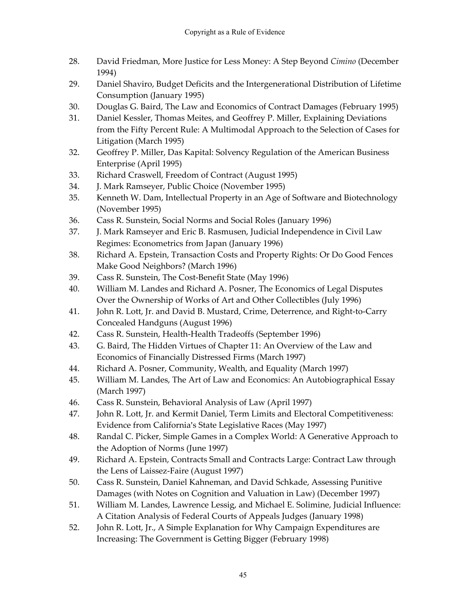- 28. David Friedman, More Justice for Less Money: A Step Beyond *Cimino* (December 1994)
- 29. Daniel Shaviro, Budget Deficits and the Intergenerational Distribution of Lifetime Consumption (January 1995)
- 30. Douglas G. Baird, The Law and Economics of Contract Damages (February 1995)
- 31. Daniel Kessler, Thomas Meites, and Geoffrey P. Miller, Explaining Deviations from the Fifty Percent Rule: A Multimodal Approach to the Selection of Cases for Litigation (March 1995)
- 32. Geoffrey P. Miller, Das Kapital: Solvency Regulation of the American Business Enterprise (April 1995)
- 33. Richard Craswell, Freedom of Contract (August 1995)
- 34. J. Mark Ramseyer, Public Choice (November 1995)
- 35. Kenneth W. Dam, Intellectual Property in an Age of Software and Biotechnology (November 1995)
- 36. Cass R. Sunstein, Social Norms and Social Roles (January 1996)
- 37. J. Mark Ramseyer and Eric B. Rasmusen, Judicial Independence in Civil Law Regimes: Econometrics from Japan (January 1996)
- 38. Richard A. Epstein, Transaction Costs and Property Rights: Or Do Good Fences Make Good Neighbors? (March 1996)
- 39. Cass R. Sunstein, The Cost-Benefit State (May 1996)
- 40. William M. Landes and Richard A. Posner, The Economics of Legal Disputes Over the Ownership of Works of Art and Other Collectibles (July 1996)
- 41. John R. Lott, Jr. and David B. Mustard, Crime, Deterrence, and Right-to-Carry Concealed Handguns (August 1996)
- 42. Cass R. Sunstein, Health-Health Tradeoffs (September 1996)
- 43. G. Baird, The Hidden Virtues of Chapter 11: An Overview of the Law and Economics of Financially Distressed Firms (March 1997)
- 44. Richard A. Posner, Community, Wealth, and Equality (March 1997)
- 45. William M. Landes, The Art of Law and Economics: An Autobiographical Essay (March 1997)
- 46. Cass R. Sunstein, Behavioral Analysis of Law (April 1997)
- 47. John R. Lott, Jr. and Kermit Daniel, Term Limits and Electoral Competitiveness: Evidence from California's State Legislative Races (May 1997)
- 48. Randal C. Picker, Simple Games in a Complex World: A Generative Approach to the Adoption of Norms (June 1997)
- 49. Richard A. Epstein, Contracts Small and Contracts Large: Contract Law through the Lens of Laissez-Faire (August 1997)
- 50. Cass R. Sunstein, Daniel Kahneman, and David Schkade, Assessing Punitive Damages (with Notes on Cognition and Valuation in Law) (December 1997)
- 51. William M. Landes, Lawrence Lessig, and Michael E. Solimine, Judicial Influence: A Citation Analysis of Federal Courts of Appeals Judges (January 1998)
- 52. John R. Lott, Jr., A Simple Explanation for Why Campaign Expenditures are Increasing: The Government is Getting Bigger (February 1998)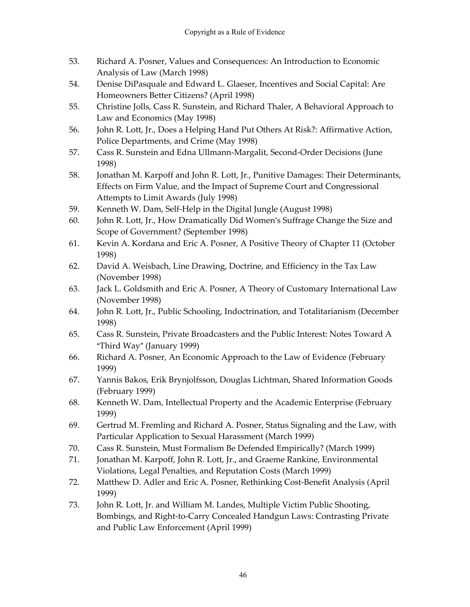- 53. Richard A. Posner, Values and Consequences: An Introduction to Economic Analysis of Law (March 1998)
- 54. Denise DiPasquale and Edward L. Glaeser, Incentives and Social Capital: Are Homeowners Better Citizens? (April 1998)
- 55. Christine Jolls, Cass R. Sunstein, and Richard Thaler, A Behavioral Approach to Law and Economics (May 1998)
- 56. John R. Lott, Jr., Does a Helping Hand Put Others At Risk?: Affirmative Action, Police Departments, and Crime (May 1998)
- 57. Cass R. Sunstein and Edna Ullmann-Margalit, Second-Order Decisions (June 1998)
- 58. Jonathan M. Karpoff and John R. Lott, Jr., Punitive Damages: Their Determinants, Effects on Firm Value, and the Impact of Supreme Court and Congressional Attempts to Limit Awards (July 1998)
- 59. Kenneth W. Dam, Self-Help in the Digital Jungle (August 1998)
- 60. John R. Lott, Jr., How Dramatically Did Women's Suffrage Change the Size and Scope of Government? (September 1998)
- 61. Kevin A. Kordana and Eric A. Posner, A Positive Theory of Chapter 11 (October 1998)
- 62. David A. Weisbach, Line Drawing, Doctrine, and Efficiency in the Tax Law (November 1998)
- 63. Jack L. Goldsmith and Eric A. Posner, A Theory of Customary International Law (November 1998)
- 64. John R. Lott, Jr., Public Schooling, Indoctrination, and Totalitarianism (December 1998)
- 65. Cass R. Sunstein, Private Broadcasters and the Public Interest: Notes Toward A "Third Way" (January 1999)
- 66. Richard A. Posner, An Economic Approach to the Law of Evidence (February 1999)
- 67. Yannis Bakos, Erik Brynjolfsson, Douglas Lichtman, Shared Information Goods (February 1999)
- 68. Kenneth W. Dam, Intellectual Property and the Academic Enterprise (February 1999)
- 69. Gertrud M. Fremling and Richard A. Posner, Status Signaling and the Law, with Particular Application to Sexual Harassment (March 1999)
- 70. Cass R. Sunstein, Must Formalism Be Defended Empirically? (March 1999)
- 71. Jonathan M. Karpoff, John R. Lott, Jr., and Graeme Rankine, Environmental Violations, Legal Penalties, and Reputation Costs (March 1999)
- 72. Matthew D. Adler and Eric A. Posner, Rethinking Cost-Benefit Analysis (April 1999)
- 73. John R. Lott, Jr. and William M. Landes, Multiple Victim Public Shooting, Bombings, and Right-to-Carry Concealed Handgun Laws: Contrasting Private and Public Law Enforcement (April 1999)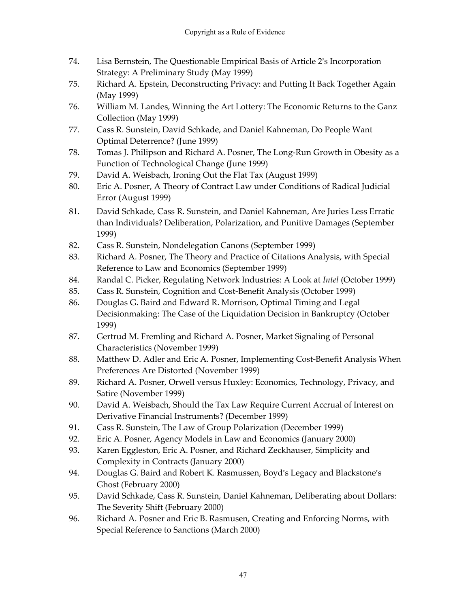- 74. Lisa Bernstein, The Questionable Empirical Basis of Article 2's Incorporation Strategy: A Preliminary Study (May 1999)
- 75. Richard A. Epstein, Deconstructing Privacy: and Putting It Back Together Again (May 1999)
- 76. William M. Landes, Winning the Art Lottery: The Economic Returns to the Ganz Collection (May 1999)
- 77. Cass R. Sunstein, David Schkade, and Daniel Kahneman, Do People Want Optimal Deterrence? (June 1999)
- 78. Tomas J. Philipson and Richard A. Posner, The Long-Run Growth in Obesity as a Function of Technological Change (June 1999)
- 79. David A. Weisbach, Ironing Out the Flat Tax (August 1999)
- 80. Eric A. Posner, A Theory of Contract Law under Conditions of Radical Judicial Error (August 1999)
- 81. David Schkade, Cass R. Sunstein, and Daniel Kahneman, Are Juries Less Erratic than Individuals? Deliberation, Polarization, and Punitive Damages (September 1999)
- 82. Cass R. Sunstein, Nondelegation Canons (September 1999)
- 83. Richard A. Posner, The Theory and Practice of Citations Analysis, with Special Reference to Law and Economics (September 1999)
- 84. Randal C. Picker, Regulating Network Industries: A Look at *Intel* (October 1999)
- 85. Cass R. Sunstein, Cognition and Cost-Benefit Analysis (October 1999)
- 86. Douglas G. Baird and Edward R. Morrison, Optimal Timing and Legal Decisionmaking: The Case of the Liquidation Decision in Bankruptcy (October 1999)
- 87. Gertrud M. Fremling and Richard A. Posner, Market Signaling of Personal Characteristics (November 1999)
- 88. Matthew D. Adler and Eric A. Posner, Implementing Cost-Benefit Analysis When Preferences Are Distorted (November 1999)
- 89. Richard A. Posner, Orwell versus Huxley: Economics, Technology, Privacy, and Satire (November 1999)
- 90. David A. Weisbach, Should the Tax Law Require Current Accrual of Interest on Derivative Financial Instruments? (December 1999)
- 91. Cass R. Sunstein, The Law of Group Polarization (December 1999)
- 92. Eric A. Posner, Agency Models in Law and Economics (January 2000)
- 93. Karen Eggleston, Eric A. Posner, and Richard Zeckhauser, Simplicity and Complexity in Contracts (January 2000)
- 94. Douglas G. Baird and Robert K. Rasmussen, Boyd's Legacy and Blackstone's Ghost (February 2000)
- 95. David Schkade, Cass R. Sunstein, Daniel Kahneman, Deliberating about Dollars: The Severity Shift (February 2000)
- 96. Richard A. Posner and Eric B. Rasmusen, Creating and Enforcing Norms, with Special Reference to Sanctions (March 2000)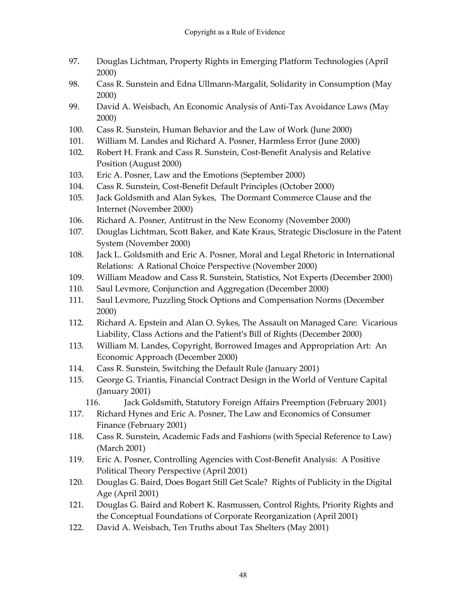- 97. Douglas Lichtman, Property Rights in Emerging Platform Technologies (April 2000)
- 98. Cass R. Sunstein and Edna Ullmann-Margalit, Solidarity in Consumption (May 2000)
- 99. David A. Weisbach, An Economic Analysis of Anti-Tax Avoidance Laws (May 2000)
- 100. Cass R. Sunstein, Human Behavior and the Law of Work (June 2000)
- 101. William M. Landes and Richard A. Posner, Harmless Error (June 2000)
- 102. Robert H. Frank and Cass R. Sunstein, Cost-Benefit Analysis and Relative Position (August 2000)
- 103. Eric A. Posner, Law and the Emotions (September 2000)
- 104. Cass R. Sunstein, Cost-Benefit Default Principles (October 2000)
- 105. Jack Goldsmith and Alan Sykes, The Dormant Commerce Clause and the Internet (November 2000)
- 106. Richard A. Posner, Antitrust in the New Economy (November 2000)
- 107. Douglas Lichtman, Scott Baker, and Kate Kraus, Strategic Disclosure in the Patent System (November 2000)
- 108. Jack L. Goldsmith and Eric A. Posner, Moral and Legal Rhetoric in International Relations: A Rational Choice Perspective (November 2000)
- 109. William Meadow and Cass R. Sunstein, Statistics, Not Experts (December 2000)
- 110. Saul Levmore, Conjunction and Aggregation (December 2000)
- 111. Saul Levmore, Puzzling Stock Options and Compensation Norms (December 2000)
- 112. Richard A. Epstein and Alan O. Sykes, The Assault on Managed Care: Vicarious Liability, Class Actions and the Patient's Bill of Rights (December 2000)
- 113. William M. Landes, Copyright, Borrowed Images and Appropriation Art: An Economic Approach (December 2000)
- 114. Cass R. Sunstein, Switching the Default Rule (January 2001)
- 115. George G. Triantis, Financial Contract Design in the World of Venture Capital (January 2001)
	- 116. Jack Goldsmith, Statutory Foreign Affairs Preemption (February 2001)
- 117. Richard Hynes and Eric A. Posner, The Law and Economics of Consumer Finance (February 2001)
- 118. Cass R. Sunstein, Academic Fads and Fashions (with Special Reference to Law) (March 2001)
- 119. Eric A. Posner, Controlling Agencies with Cost-Benefit Analysis: A Positive Political Theory Perspective (April 2001)
- 120. Douglas G. Baird, Does Bogart Still Get Scale? Rights of Publicity in the Digital Age (April 2001)
- 121. Douglas G. Baird and Robert K. Rasmussen, Control Rights, Priority Rights and the Conceptual Foundations of Corporate Reorganization (April 2001)
- 122. David A. Weisbach, Ten Truths about Tax Shelters (May 2001)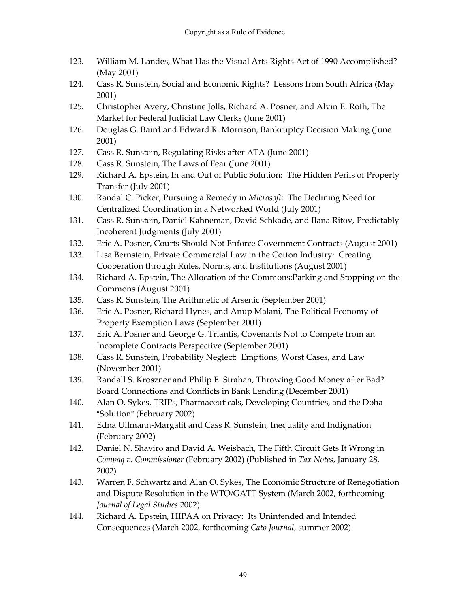- 123. William M. Landes, What Has the Visual Arts Rights Act of 1990 Accomplished? (May 2001)
- 124. Cass R. Sunstein, Social and Economic Rights? Lessons from South Africa (May 2001)
- 125. Christopher Avery, Christine Jolls, Richard A. Posner, and Alvin E. Roth, The Market for Federal Judicial Law Clerks (June 2001)
- 126. Douglas G. Baird and Edward R. Morrison, Bankruptcy Decision Making (June 2001)
- 127. Cass R. Sunstein, Regulating Risks after ATA (June 2001)
- 128. Cass R. Sunstein, The Laws of Fear (June 2001)
- 129. Richard A. Epstein, In and Out of Public Solution: The Hidden Perils of Property Transfer (July 2001)
- 130. Randal C. Picker, Pursuing a Remedy in *Microsoft*: The Declining Need for Centralized Coordination in a Networked World (July 2001)
- 131. Cass R. Sunstein, Daniel Kahneman, David Schkade, and Ilana Ritov, Predictably Incoherent Judgments (July 2001)
- 132. Eric A. Posner, Courts Should Not Enforce Government Contracts (August 2001)
- 133. Lisa Bernstein, Private Commercial Law in the Cotton Industry: Creating Cooperation through Rules, Norms, and Institutions (August 2001)
- 134. Richard A. Epstein, The Allocation of the Commons:Parking and Stopping on the Commons (August 2001)
- 135. Cass R. Sunstein, The Arithmetic of Arsenic (September 2001)
- 136. Eric A. Posner, Richard Hynes, and Anup Malani, The Political Economy of Property Exemption Laws (September 2001)
- 137. Eric A. Posner and George G. Triantis, Covenants Not to Compete from an Incomplete Contracts Perspective (September 2001)
- 138. Cass R. Sunstein, Probability Neglect: Emptions, Worst Cases, and Law (November 2001)
- 139. Randall S. Kroszner and Philip E. Strahan, Throwing Good Money after Bad? Board Connections and Conflicts in Bank Lending (December 2001)
- 140. Alan O. Sykes, TRIPs, Pharmaceuticals, Developing Countries, and the Doha "Solution" (February 2002)
- 141. Edna Ullmann-Margalit and Cass R. Sunstein, Inequality and Indignation (February 2002)
- 142. Daniel N. Shaviro and David A. Weisbach, The Fifth Circuit Gets It Wrong in *Compaq v. Commissioner* (February 2002) (Published in *Tax Notes*, January 28, 2002)
- 143. Warren F. Schwartz and Alan O. Sykes, The Economic Structure of Renegotiation and Dispute Resolution in the WTO/GATT System (March 2002, forthcoming *Journal of Legal Studies* 2002)
- 144. Richard A. Epstein, HIPAA on Privacy: Its Unintended and Intended Consequences (March 2002, forthcoming *Cato Journal*, summer 2002)